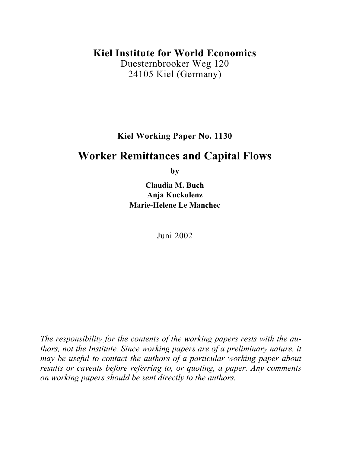## **Kiel Institute for World Economics**

Duesternbrooker Weg 120 24105 Kiel (Germany)

**Kiel Working Paper No. 1130** 

# **Worker Remittances and Capital Flows**

**by**

**Claudia M. Buch Anja Kuckulenz Marie-Helene Le Manchec**

Juni 2002

*The responsibility for the contents of the working papers rests with the authors, not the Institute. Since working papers are of a preliminary nature, it may be useful to contact the authors of a particular working paper about results or caveats before referring to, or quoting, a paper. Any comments on working papers should be sent directly to the authors.*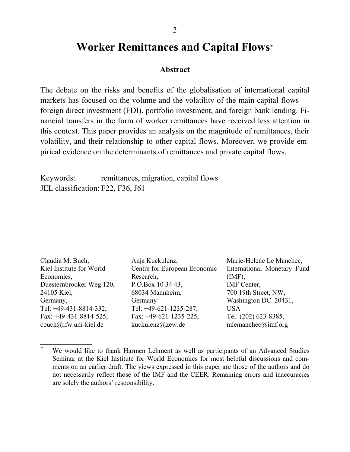# **Worker Remittances and Capital Flows\***

#### **Abstract**

The debate on the risks and benefits of the globalisation of international capital markets has focused on the volume and the volatility of the main capital flows foreign direct investment (FDI), portfolio investment, and foreign bank lending. Financial transfers in the form of worker remittances have received less attention in this context. This paper provides an analysis on the magnitude of remittances, their volatility, and their relationship to other capital flows. Moreover, we provide empirical evidence on the determinants of remittances and private capital flows.

Keywords: remittances, migration, capital flows JEL classification: F22, F36, J61

 $\frac{1}{2}$ 

| Claudia M. Buch,          | Anja Kuckulenz,              | Marie-Helene Le Manchec,    |
|---------------------------|------------------------------|-----------------------------|
| Kiel Institute for World  | Centre for European Economic | International Monetary Fund |
| Economics,                | Research,                    | $(MF)$ ,                    |
| Duesternbrooker Weg 120,  | P.O.Box 10 34 43,            | IMF Center,                 |
| 24105 Kiel,               | 68034 Mannheim,              | 700 19th Street, NW,        |
| Germany,                  | Germany                      | Washington DC. 20431,       |
| Tel: $+49-431-8814-332$ , | Tel: $+49-621-1235-287$ ,    | <b>USA</b>                  |
| Fax: $+49-431-8814-525$ , | Fax: $+49-621-1235-225$ ,    | Tel: (202) 623-8385,        |
| cbuch@ifw.uni-kiel.de     | kuckulenz@zew.de             | mlemanchec@imf.org          |

<sup>\*</sup> We would like to thank Harmen Lehment as well as participants of an Advanced Studies Seminar at the Kiel Institute for World Economics for most helpful discussions and comments on an earlier draft. The views expressed in this paper are those of the authors and do not necessarily reflect those of the IMF and the CEER. Remaining errors and inaccuracies are solely the authors' responsibility.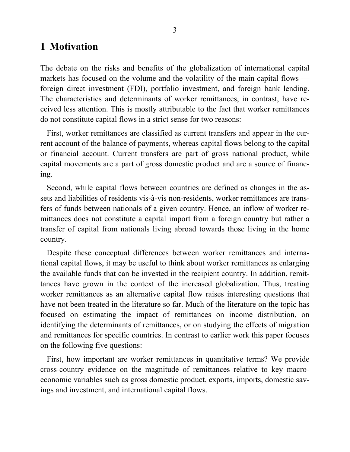## **1 Motivation**

The debate on the risks and benefits of the globalization of international capital markets has focused on the volume and the volatility of the main capital flows foreign direct investment (FDI), portfolio investment, and foreign bank lending. The characteristics and determinants of worker remittances, in contrast, have received less attention. This is mostly attributable to the fact that worker remittances do not constitute capital flows in a strict sense for two reasons:

First, worker remittances are classified as current transfers and appear in the current account of the balance of payments, whereas capital flows belong to the capital or financial account. Current transfers are part of gross national product, while capital movements are a part of gross domestic product and are a source of financing.

Second, while capital flows between countries are defined as changes in the assets and liabilities of residents vis-à-vis non-residents, worker remittances are transfers of funds between nationals of a given country. Hence, an inflow of worker remittances does not constitute a capital import from a foreign country but rather a transfer of capital from nationals living abroad towards those living in the home country.

Despite these conceptual differences between worker remittances and international capital flows, it may be useful to think about worker remittances as enlarging the available funds that can be invested in the recipient country. In addition, remittances have grown in the context of the increased globalization. Thus, treating worker remittances as an alternative capital flow raises interesting questions that have not been treated in the literature so far. Much of the literature on the topic has focused on estimating the impact of remittances on income distribution, on identifying the determinants of remittances, or on studying the effects of migration and remittances for specific countries. In contrast to earlier work this paper focuses on the following five questions:

First, how important are worker remittances in quantitative terms? We provide cross-country evidence on the magnitude of remittances relative to key macroeconomic variables such as gross domestic product, exports, imports, domestic savings and investment, and international capital flows.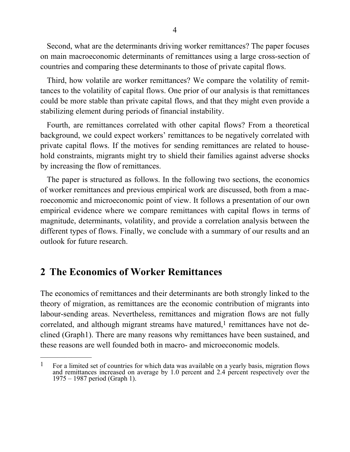Second, what are the determinants driving worker remittances? The paper focuses on main macroeconomic determinants of remittances using a large cross-section of countries and comparing these determinants to those of private capital flows.

Third, how volatile are worker remittances? We compare the volatility of remittances to the volatility of capital flows. One prior of our analysis is that remittances could be more stable than private capital flows, and that they might even provide a stabilizing element during periods of financial instability.

Fourth, are remittances correlated with other capital flows? From a theoretical background, we could expect workers' remittances to be negatively correlated with private capital flows. If the motives for sending remittances are related to household constraints, migrants might try to shield their families against adverse shocks by increasing the flow of remittances.

The paper is structured as follows. In the following two sections, the economics of worker remittances and previous empirical work are discussed, both from a macroeconomic and microeconomic point of view. It follows a presentation of our own empirical evidence where we compare remittances with capital flows in terms of magnitude, determinants, volatility, and provide a correlation analysis between the different types of flows. Finally, we conclude with a summary of our results and an outlook for future research.

# **2 The Economics of Worker Remittances**

 $\frac{1}{2}$ 

The economics of remittances and their determinants are both strongly linked to the theory of migration, as remittances are the economic contribution of migrants into labour-sending areas. Nevertheless, remittances and migration flows are not fully correlated, and although migrant streams have matured,<sup>1</sup> remittances have not declined (Graph1). There are many reasons why remittances have been sustained, and these reasons are well founded both in macro- and microeconomic models.

 $1$  For a limited set of countries for which data was available on a yearly basis, migration flows and remittances increased on average by 1.0 percent and 2.4 percent respectively over the 1975 – 1987 period (Graph 1).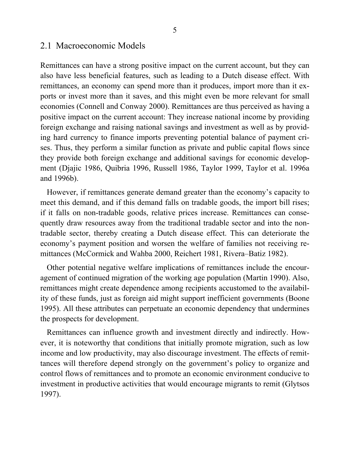### 2.1 Macroeconomic Models

Remittances can have a strong positive impact on the current account, but they can also have less beneficial features, such as leading to a Dutch disease effect. With remittances, an economy can spend more than it produces, import more than it exports or invest more than it saves, and this might even be more relevant for small economies (Connell and Conway 2000). Remittances are thus perceived as having a positive impact on the current account: They increase national income by providing foreign exchange and raising national savings and investment as well as by providing hard currency to finance imports preventing potential balance of payment crises. Thus, they perform a similar function as private and public capital flows since they provide both foreign exchange and additional savings for economic development (Djajic 1986, Quibria 1996, Russell 1986, Taylor 1999, Taylor et al. 1996a and 1996b).

However, if remittances generate demand greater than the economy's capacity to meet this demand, and if this demand falls on tradable goods, the import bill rises; if it falls on non-tradable goods, relative prices increase. Remittances can consequently draw resources away from the traditional tradable sector and into the nontradable sector, thereby creating a Dutch disease effect. This can deteriorate the economy's payment position and worsen the welfare of families not receiving remittances (McCormick and Wahba 2000, Reichert 1981, Rivera–Batiz 1982).

Other potential negative welfare implications of remittances include the encouragement of continued migration of the working age population (Martin 1990). Also, remittances might create dependence among recipients accustomed to the availability of these funds, just as foreign aid might support inefficient governments (Boone 1995). All these attributes can perpetuate an economic dependency that undermines the prospects for development.

Remittances can influence growth and investment directly and indirectly. However, it is noteworthy that conditions that initially promote migration, such as low income and low productivity, may also discourage investment. The effects of remittances will therefore depend strongly on the government's policy to organize and control flows of remittances and to promote an economic environment conducive to investment in productive activities that would encourage migrants to remit (Glytsos 1997).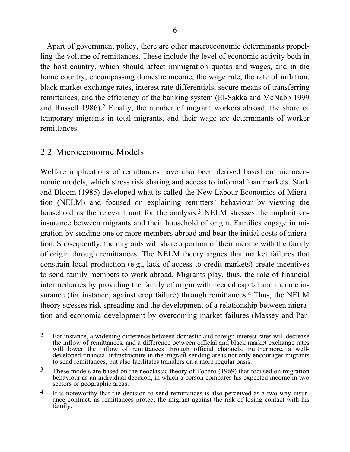Apart of government policy, there are other macroeconomic determinants propelling the volume of remittances. These include the level of economic activity both in the host country, which should affect immigration quotas and wages, and in the home country, encompassing domestic income, the wage rate, the rate of inflation, black market exchange rates, interest rate differentials, secure means of transferring remittances, and the efficiency of the banking system (El-Sakka and McNabb 1999 and Russell 1986).2 Finally, the number of migrant workers abroad, the share of temporary migrants in total migrants, and their wage are determinants of worker remittances.

## 2.2 Microeconomic Models

 $\mathcal{L}_\text{max}$ 

Welfare implications of remittances have also been derived based on microeconomic models, which stress risk sharing and access to informal loan markets. Stark and Bloom (1985) developed what is called the New Labour Economics of Migration (NELM) and focused on explaining remitters' behaviour by viewing the household as the relevant unit for the analysis.3 NELM stresses the implicit coinsurance between migrants and their household of origin. Families engage in migration by sending one or more members abroad and bear the initial costs of migration. Subsequently, the migrants will share a portion of their income with the family of origin through remittances. The NELM theory argues that market failures that constrain local production (e.g., lack of access to credit markets) create incentives to send family members to work abroad. Migrants play, thus, the role of financial intermediaries by providing the family of origin with needed capital and income insurance (for instance, against crop failure) through remittances.4 Thus, the NELM theory stresses risk spreading and the development of a relationship between migration and economic development by overcoming market failures (Massey and Par-

<sup>2</sup> For instance, a widening difference between domestic and foreign interest rates will decrease the inflow of remittances, and a difference between official and black market exchange rates will lower the inflow of remittances through official channels. Furthermore, a welldeveloped financial infrastructure in the migrant-sending areas not only encourages migrants to send remittances, but also facilitates transfers on a more regular basis.

<sup>&</sup>lt;sup>3</sup> These models are based on the neoclassic theory of Todaro (1969) that focused on migration behaviour as an individual decision, in which a person compares his expected income in two sectors or geographic areas.

<sup>&</sup>lt;sup>4</sup> It is noteworthy that the decision to send remittances is also perceived as a two-way insurance contract, as remittances protect the migrant against the risk of losing contact with his family.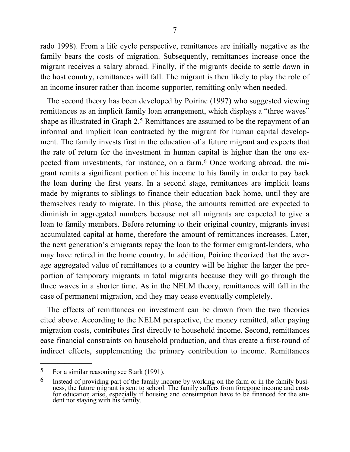rado 1998). From a life cycle perspective, remittances are initially negative as the family bears the costs of migration. Subsequently, remittances increase once the migrant receives a salary abroad. Finally, if the migrants decide to settle down in the host country, remittances will fall. The migrant is then likely to play the role of an income insurer rather than income supporter, remitting only when needed.

The second theory has been developed by Poirine (1997) who suggested viewing remittances as an implicit family loan arrangement, which displays a "three waves" shape as illustrated in Graph 2.5 Remittances are assumed to be the repayment of an informal and implicit loan contracted by the migrant for human capital development. The family invests first in the education of a future migrant and expects that the rate of return for the investment in human capital is higher than the one expected from investments, for instance, on a farm.6 Once working abroad, the migrant remits a significant portion of his income to his family in order to pay back the loan during the first years. In a second stage, remittances are implicit loans made by migrants to siblings to finance their education back home, until they are themselves ready to migrate. In this phase, the amounts remitted are expected to diminish in aggregated numbers because not all migrants are expected to give a loan to family members. Before returning to their original country, migrants invest accumulated capital at home, therefore the amount of remittances increases. Later, the next generation's emigrants repay the loan to the former emigrant-lenders, who may have retired in the home country. In addition, Poirine theorized that the average aggregated value of remittances to a country will be higher the larger the proportion of temporary migrants in total migrants because they will go through the three waves in a shorter time. As in the NELM theory, remittances will fall in the case of permanent migration, and they may cease eventually completely.

The effects of remittances on investment can be drawn from the two theories cited above. According to the NELM perspective, the money remitted, after paying migration costs, contributes first directly to household income. Second, remittances ease financial constraints on household production, and thus create a first-round of indirect effects, supplementing the primary contribution to income. Remittances

 $\frac{1}{2}$ 

<sup>5</sup> For a similar reasoning see Stark (1991).

 $6$  Instead of providing part of the family income by working on the farm or in the family business, the future migrant is sent to school. The family suffers from foregone income and costs for education arise, especially if housing and consumption have to be financed for the student not staying with his family.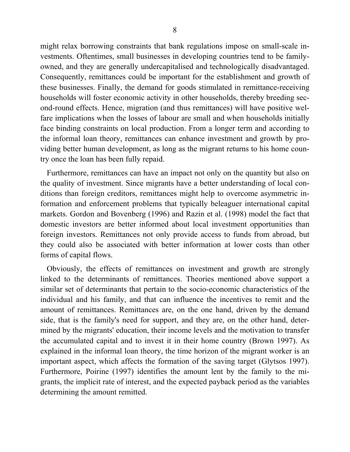might relax borrowing constraints that bank regulations impose on small-scale investments. Oftentimes, small businesses in developing countries tend to be familyowned, and they are generally undercapitalised and technologically disadvantaged. Consequently, remittances could be important for the establishment and growth of these businesses. Finally, the demand for goods stimulated in remittance-receiving households will foster economic activity in other households, thereby breeding second-round effects. Hence, migration (and thus remittances) will have positive welfare implications when the losses of labour are small and when households initially face binding constraints on local production. From a longer term and according to the informal loan theory, remittances can enhance investment and growth by providing better human development, as long as the migrant returns to his home country once the loan has been fully repaid.

Furthermore, remittances can have an impact not only on the quantity but also on the quality of investment. Since migrants have a better understanding of local conditions than foreign creditors, remittances might help to overcome asymmetric information and enforcement problems that typically beleaguer international capital markets. Gordon and Bovenberg (1996) and Razin et al. (1998) model the fact that domestic investors are better informed about local investment opportunities than foreign investors. Remittances not only provide access to funds from abroad, but they could also be associated with better information at lower costs than other forms of capital flows.

Obviously, the effects of remittances on investment and growth are strongly linked to the determinants of remittances. Theories mentioned above support a similar set of determinants that pertain to the socio-economic characteristics of the individual and his family, and that can influence the incentives to remit and the amount of remittances. Remittances are, on the one hand, driven by the demand side, that is the family's need for support, and they are, on the other hand, determined by the migrants' education, their income levels and the motivation to transfer the accumulated capital and to invest it in their home country (Brown 1997). As explained in the informal loan theory, the time horizon of the migrant worker is an important aspect, which affects the formation of the saving target (Glytsos 1997). Furthermore, Poirine (1997) identifies the amount lent by the family to the migrants, the implicit rate of interest, and the expected payback period as the variables determining the amount remitted.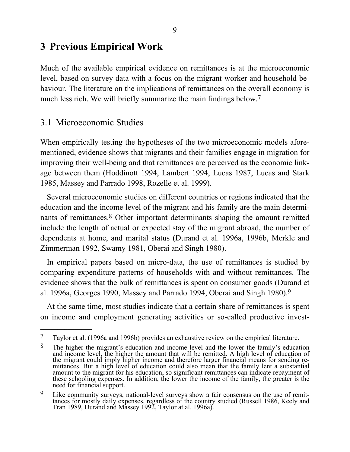# **3 Previous Empirical Work**

Much of the available empirical evidence on remittances is at the microeconomic level, based on survey data with a focus on the migrant-worker and household behaviour. The literature on the implications of remittances on the overall economy is much less rich. We will briefly summarize the main findings below.<sup>7</sup>

## 3.1 Microeconomic Studies

 $\frac{1}{2}$ 

When empirically testing the hypotheses of the two microeconomic models aforementioned, evidence shows that migrants and their families engage in migration for improving their well-being and that remittances are perceived as the economic linkage between them (Hoddinott 1994, Lambert 1994, Lucas 1987, Lucas and Stark 1985, Massey and Parrado 1998, Rozelle et al. 1999).

Several microeconomic studies on different countries or regions indicated that the education and the income level of the migrant and his family are the main determinants of remittances.8 Other important determinants shaping the amount remitted include the length of actual or expected stay of the migrant abroad, the number of dependents at home, and marital status (Durand et al. 1996a, 1996b, Merkle and Zimmerman 1992, Swamy 1981, Oberai and Singh 1980).

In empirical papers based on micro-data, the use of remittances is studied by comparing expenditure patterns of households with and without remittances. The evidence shows that the bulk of remittances is spent on consumer goods (Durand et al. 1996a, Georges 1990, Massey and Parrado 1994, Oberai and Singh 1980).9

At the same time, most studies indicate that a certain share of remittances is spent on income and employment generating activities or so-called productive invest-

<sup>7</sup> Taylor et al. (1996a and 1996b) provides an exhaustive review on the empirical literature.

<sup>&</sup>lt;sup>8</sup> The higher the migrant's education and income level and the lower the family's education and income level, the higher the amount that will be remitted. A high level of education of the migrant could imply higher income and therefore larger financial means for sending remittances. But a high level of education could also mean that the family lent a substantial amount to the migrant for his education, so significant remittances can indicate repayment of these schooling expenses. In addition, the lower the income of the family, the greater is the need for financial support.

 $9$  Like community surveys, national-level surveys show a fair consensus on the use of remittances for mostly daily expenses, regardless of the country studied (Russell 1986, Keely and Tran 1989, Durand and Massey 1992, Taylor at al. 1996a).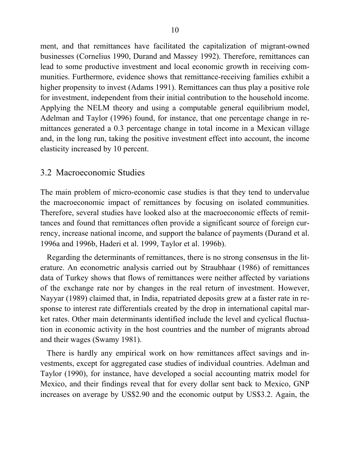ment, and that remittances have facilitated the capitalization of migrant-owned businesses (Cornelius 1990, Durand and Massey 1992). Therefore, remittances can lead to some productive investment and local economic growth in receiving communities. Furthermore, evidence shows that remittance-receiving families exhibit a higher propensity to invest (Adams 1991). Remittances can thus play a positive role for investment, independent from their initial contribution to the household income. Applying the NELM theory and using a computable general equilibrium model, Adelman and Taylor (1996) found, for instance, that one percentage change in remittances generated a 0.3 percentage change in total income in a Mexican village and, in the long run, taking the positive investment effect into account, the income elasticity increased by 10 percent.

## 3.2 Macroeconomic Studies

The main problem of micro-economic case studies is that they tend to undervalue the macroeconomic impact of remittances by focusing on isolated communities. Therefore, several studies have looked also at the macroeconomic effects of remittances and found that remittances often provide a significant source of foreign currency, increase national income, and support the balance of payments (Durand et al. 1996a and 1996b, Haderi et al. 1999, Taylor et al. 1996b).

Regarding the determinants of remittances, there is no strong consensus in the literature. An econometric analysis carried out by Straubhaar (1986) of remittances data of Turkey shows that flows of remittances were neither affected by variations of the exchange rate nor by changes in the real return of investment. However, Nayyar (1989) claimed that, in India, repatriated deposits grew at a faster rate in response to interest rate differentials created by the drop in international capital market rates. Other main determinants identified include the level and cyclical fluctuation in economic activity in the host countries and the number of migrants abroad and their wages (Swamy 1981).

There is hardly any empirical work on how remittances affect savings and investments, except for aggregated case studies of individual countries. Adelman and Taylor (1990), for instance, have developed a social accounting matrix model for Mexico, and their findings reveal that for every dollar sent back to Mexico, GNP increases on average by US\$2.90 and the economic output by US\$3.2. Again, the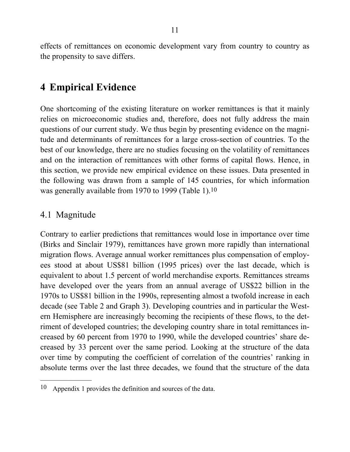effects of remittances on economic development vary from country to country as the propensity to save differs.

# **4 Empirical Evidence**

One shortcoming of the existing literature on worker remittances is that it mainly relies on microeconomic studies and, therefore, does not fully address the main questions of our current study. We thus begin by presenting evidence on the magnitude and determinants of remittances for a large cross-section of countries. To the best of our knowledge, there are no studies focusing on the volatility of remittances and on the interaction of remittances with other forms of capital flows. Hence, in this section, we provide new empirical evidence on these issues. Data presented in the following was drawn from a sample of 145 countries, for which information was generally available from 1970 to 1999 (Table 1).10

## 4.1 Magnitude

 $\mathcal{L}_\text{max}$ 

Contrary to earlier predictions that remittances would lose in importance over time (Birks and Sinclair 1979), remittances have grown more rapidly than international migration flows. Average annual worker remittances plus compensation of employees stood at about US\$81 billion (1995 prices) over the last decade, which is equivalent to about 1.5 percent of world merchandise exports. Remittances streams have developed over the years from an annual average of US\$22 billion in the 1970s to US\$81 billion in the 1990s, representing almost a twofold increase in each decade (see Table 2 and Graph 3). Developing countries and in particular the Western Hemisphere are increasingly becoming the recipients of these flows, to the detriment of developed countries; the developing country share in total remittances increased by 60 percent from 1970 to 1990, while the developed countries' share decreased by 33 percent over the same period. Looking at the structure of the data over time by computing the coefficient of correlation of the countries' ranking in absolute terms over the last three decades, we found that the structure of the data

<sup>10</sup> Appendix 1 provides the definition and sources of the data.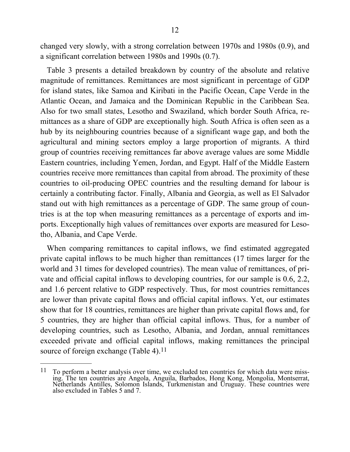changed very slowly, with a strong correlation between 1970s and 1980s (0.9), and a significant correlation between 1980s and 1990s (0.7).

Table 3 presents a detailed breakdown by country of the absolute and relative magnitude of remittances. Remittances are most significant in percentage of GDP for island states, like Samoa and Kiribati in the Pacific Ocean, Cape Verde in the Atlantic Ocean, and Jamaica and the Dominican Republic in the Caribbean Sea. Also for two small states, Lesotho and Swaziland, which border South Africa, remittances as a share of GDP are exceptionally high. South Africa is often seen as a hub by its neighbouring countries because of a significant wage gap, and both the agricultural and mining sectors employ a large proportion of migrants. A third group of countries receiving remittances far above average values are some Middle Eastern countries, including Yemen, Jordan, and Egypt. Half of the Middle Eastern countries receive more remittances than capital from abroad. The proximity of these countries to oil-producing OPEC countries and the resulting demand for labour is certainly a contributing factor. Finally, Albania and Georgia, as well as El Salvador stand out with high remittances as a percentage of GDP. The same group of countries is at the top when measuring remittances as a percentage of exports and imports. Exceptionally high values of remittances over exports are measured for Lesotho, Albania, and Cape Verde.

When comparing remittances to capital inflows, we find estimated aggregated private capital inflows to be much higher than remittances (17 times larger for the world and 31 times for developed countries). The mean value of remittances, of private and official capital inflows to developing countries, for our sample is 0.6, 2.2, and 1.6 percent relative to GDP respectively. Thus, for most countries remittances are lower than private capital flows and official capital inflows. Yet, our estimates show that for 18 countries, remittances are higher than private capital flows and, for 5 countries, they are higher than official capital inflows. Thus, for a number of developing countries, such as Lesotho, Albania, and Jordan, annual remittances exceeded private and official capital inflows, making remittances the principal source of foreign exchange (Table 4).<sup>11</sup>

 $\frac{1}{2}$ 

 $11$  To perform a better analysis over time, we excluded ten countries for which data were missing. The ten countries are Angola, Anguila, Barbados, Hong Kong, Mongolia, Montserrat, Netherlands Antilles, Solomon Islands, Turkmenistan and Uruguay. These countries were also excluded in Tables 5 and 7.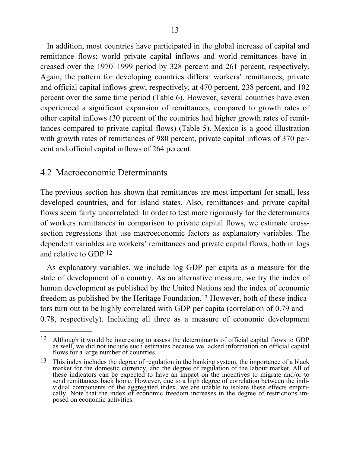In addition, most countries have participated in the global increase of capital and remittance flows; world private capital inflows and world remittances have increased over the 1970–1999 period by 328 percent and 261 percent, respectively. Again, the pattern for developing countries differs: workers' remittances, private and official capital inflows grew, respectively, at 470 percent, 238 percent, and 102 percent over the same time period (Table 6). However, several countries have even experienced a significant expansion of remittances, compared to growth rates of other capital inflows (30 percent of the countries had higher growth rates of remittances compared to private capital flows) (Table 5). Mexico is a good illustration with growth rates of remittances of 980 percent, private capital inflows of 370 percent and official capital inflows of 264 percent.

## 4.2 Macroeconomic Determinants

 $\mathcal{L}_\text{max}$ 

The previous section has shown that remittances are most important for small, less developed countries, and for island states. Also, remittances and private capital flows seem fairly uncorrelated. In order to test more rigorously for the determinants of workers remittances in comparison to private capital flows, we estimate crosssection regressions that use macroeconomic factors as explanatory variables. The dependent variables are workers' remittances and private capital flows, both in logs and relative to GDP.12

As explanatory variables, we include log GDP per capita as a measure for the state of development of a country. As an alternative measure, we try the index of human development as published by the United Nations and the index of economic freedom as published by the Heritage Foundation.13 However, both of these indicators turn out to be highly correlated with GDP per capita (correlation of 0.79 and – 0.78, respectively). Including all three as a measure of economic development

<sup>12</sup> Although it would be interesting to assess the determinants of official capital flows to GDP as well, we did not include such estimates because we lacked information on official capital flows for a large number of countries.

<sup>13</sup> This index includes the degree of regulation in the banking system, the importance of a black market for the domestic currency, and the degree of regulation of the labour market. All of these indicators can be expected to have an impact on the incentives to migrate and/or to send remittances back home. However, due to a high degree of correlation between the individual components of the aggregated index, we are unable to isolate these effects empirically. Note that the index of economic freedom increases in the degree of restrictions imposed on economic activities.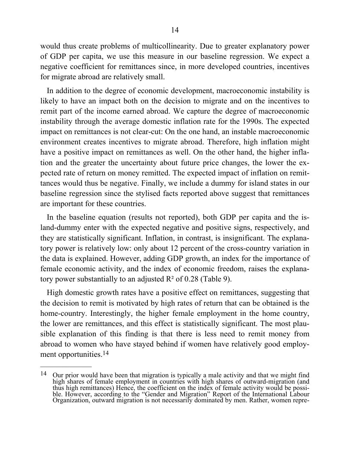would thus create problems of multicollinearity. Due to greater explanatory power of GDP per capita, we use this measure in our baseline regression. We expect a negative coefficient for remittances since, in more developed countries, incentives for migrate abroad are relatively small.

In addition to the degree of economic development, macroeconomic instability is likely to have an impact both on the decision to migrate and on the incentives to remit part of the income earned abroad. We capture the degree of macroeconomic instability through the average domestic inflation rate for the 1990s. The expected impact on remittances is not clear-cut: On the one hand, an instable macroeconomic environment creates incentives to migrate abroad. Therefore, high inflation might have a positive impact on remittances as well. On the other hand, the higher inflation and the greater the uncertainty about future price changes, the lower the expected rate of return on money remitted. The expected impact of inflation on remittances would thus be negative. Finally, we include a dummy for island states in our baseline regression since the stylised facts reported above suggest that remittances are important for these countries.

In the baseline equation (results not reported), both GDP per capita and the island-dummy enter with the expected negative and positive signs, respectively, and they are statistically significant. Inflation, in contrast, is insignificant. The explanatory power is relatively low: only about 12 percent of the cross-country variation in the data is explained. However, adding GDP growth, an index for the importance of female economic activity, and the index of economic freedom, raises the explanatory power substantially to an adjusted  $R^2$  of 0.28 (Table 9).

High domestic growth rates have a positive effect on remittances, suggesting that the decision to remit is motivated by high rates of return that can be obtained is the home-country. Interestingly, the higher female employment in the home country, the lower are remittances, and this effect is statistically significant. The most plausible explanation of this finding is that there is less need to remit money from abroad to women who have stayed behind if women have relatively good employment opportunities.14

 $\frac{1}{2}$ 

<sup>&</sup>lt;sup>14</sup> Our prior would have been that migration is typically a male activity and that we might find high shares of female employment in countries with high shares of outward-migration (and thus high remittances) Hence, the coefficient on the index of female activity would be possible. However, according to the "Gender and Migration" Report of the International Labour Organization, outward migration is not necessarily dominated by men. Rather, women repre-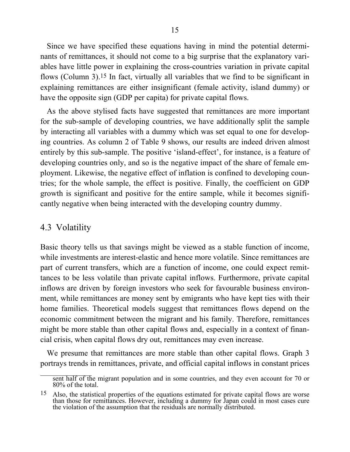Since we have specified these equations having in mind the potential determinants of remittances, it should not come to a big surprise that the explanatory variables have little power in explaining the cross-countries variation in private capital flows (Column 3).15 In fact, virtually all variables that we find to be significant in explaining remittances are either insignificant (female activity, island dummy) or have the opposite sign (GDP per capita) for private capital flows.

As the above stylised facts have suggested that remittances are more important for the sub-sample of developing countries, we have additionally split the sample by interacting all variables with a dummy which was set equal to one for developing countries. As column 2 of Table 9 shows, our results are indeed driven almost entirely by this sub-sample. The positive 'island-effect', for instance, is a feature of developing countries only, and so is the negative impact of the share of female employment. Likewise, the negative effect of inflation is confined to developing countries; for the whole sample, the effect is positive. Finally, the coefficient on GDP growth is significant and positive for the entire sample, while it becomes significantly negative when being interacted with the developing country dummy.

### 4.3 Volatility

Basic theory tells us that savings might be viewed as a stable function of income, while investments are interest-elastic and hence more volatile. Since remittances are part of current transfers, which are a function of income, one could expect remittances to be less volatile than private capital inflows. Furthermore, private capital inflows are driven by foreign investors who seek for favourable business environment, while remittances are money sent by emigrants who have kept ties with their home families. Theoretical models suggest that remittances flows depend on the economic commitment between the migrant and his family. Therefore, remittances might be more stable than other capital flows and, especially in a context of financial crisis, when capital flows dry out, remittances may even increase.

We presume that remittances are more stable than other capital flows. Graph 3 portrays trends in remittances, private, and official capital inflows in constant prices

sent half of the migrant population and in some countries, and they even account for 70 or 80% of the total.

<sup>15</sup> Also, the statistical properties of the equations estimated for private capital flows are worse than those for remittances. However, including a dummy for Japan could in most cases cure the violation of the assumption that the residuals are normally distributed.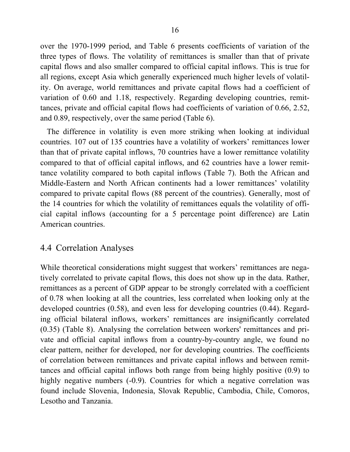over the 1970-1999 period, and Table 6 presents coefficients of variation of the three types of flows. The volatility of remittances is smaller than that of private capital flows and also smaller compared to official capital inflows. This is true for all regions, except Asia which generally experienced much higher levels of volatility. On average, world remittances and private capital flows had a coefficient of variation of 0.60 and 1.18, respectively. Regarding developing countries, remittances, private and official capital flows had coefficients of variation of 0.66, 2.52, and 0.89, respectively, over the same period (Table 6).

The difference in volatility is even more striking when looking at individual countries. 107 out of 135 countries have a volatility of workers' remittances lower than that of private capital inflows, 70 countries have a lower remittance volatility compared to that of official capital inflows, and 62 countries have a lower remittance volatility compared to both capital inflows (Table 7). Both the African and Middle-Eastern and North African continents had a lower remittances' volatility compared to private capital flows (88 percent of the countries). Generally, most of the 14 countries for which the volatility of remittances equals the volatility of official capital inflows (accounting for a 5 percentage point difference) are Latin American countries.

### 4.4 Correlation Analyses

While theoretical considerations might suggest that workers' remittances are negatively correlated to private capital flows, this does not show up in the data. Rather, remittances as a percent of GDP appear to be strongly correlated with a coefficient of 0.78 when looking at all the countries, less correlated when looking only at the developed countries (0.58), and even less for developing countries (0.44). Regarding official bilateral inflows, workers' remittances are insignificantly correlated (0.35) (Table 8). Analysing the correlation between workers' remittances and private and official capital inflows from a country-by-country angle, we found no clear pattern, neither for developed, nor for developing countries. The coefficients of correlation between remittances and private capital inflows and between remittances and official capital inflows both range from being highly positive (0.9) to highly negative numbers (-0.9). Countries for which a negative correlation was found include Slovenia, Indonesia, Slovak Republic, Cambodia, Chile, Comoros, Lesotho and Tanzania.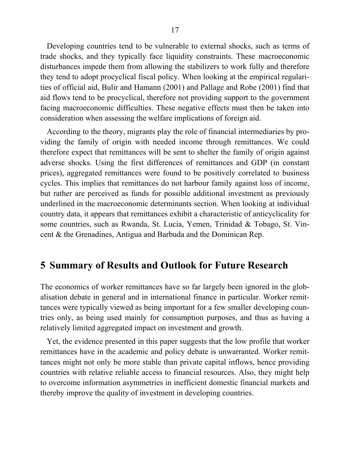Developing countries tend to be vulnerable to external shocks, such as terms of trade shocks, and they typically face liquidity constraints. These macroeconomic disturbances impede them from allowing the stabilizers to work fully and therefore they tend to adopt procyclical fiscal policy. When looking at the empirical regularities of official aid, Bulir and Hamann (2001) and Pallage and Robe (2001) find that aid flows tend to be procyclical, therefore not providing support to the government facing macroeconomic difficulties. These negative effects must then be taken into consideration when assessing the welfare implications of foreign aid.

According to the theory, migrants play the role of financial intermediaries by providing the family of origin with needed income through remittances. We could therefore expect that remittances will be sent to shelter the family of origin against adverse shocks. Using the first differences of remittances and GDP (in constant prices), aggregated remittances were found to be positively correlated to business cycles. This implies that remittances do not harbour family against loss of income, but rather are perceived as funds for possible additional investment as previously underlined in the macroeconomic determinants section. When looking at individual country data, it appears that remittances exhibit a characteristic of anticyclicality for some countries, such as Rwanda, St. Lucia, Yemen, Trinidad & Tobago, St. Vincent & the Grenadines, Antigua and Barbuda and the Dominican Rep.

## **5 Summary of Results and Outlook for Future Research**

The economics of worker remittances have so far largely been ignored in the globalisation debate in general and in international finance in particular. Worker remittances were typically viewed as being important for a few smaller developing countries only, as being used mainly for consumption purposes, and thus as having a relatively limited aggregated impact on investment and growth.

Yet, the evidence presented in this paper suggests that the low profile that worker remittances have in the academic and policy debate is unwarranted. Worker remittances might not only be more stable than private capital inflows, hence providing countries with relative reliable access to financial resources. Also, they might help to overcome information asymmetries in inefficient domestic financial markets and thereby improve the quality of investment in developing countries.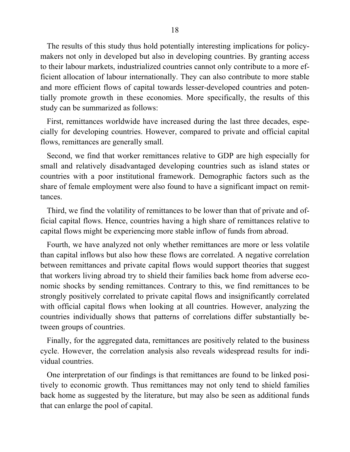The results of this study thus hold potentially interesting implications for policymakers not only in developed but also in developing countries. By granting access to their labour markets, industrialized countries cannot only contribute to a more efficient allocation of labour internationally. They can also contribute to more stable and more efficient flows of capital towards lesser-developed countries and potentially promote growth in these economies. More specifically, the results of this study can be summarized as follows:

First, remittances worldwide have increased during the last three decades, especially for developing countries. However, compared to private and official capital flows, remittances are generally small.

Second, we find that worker remittances relative to GDP are high especially for small and relatively disadvantaged developing countries such as island states or countries with a poor institutional framework. Demographic factors such as the share of female employment were also found to have a significant impact on remittances.

Third, we find the volatility of remittances to be lower than that of private and official capital flows. Hence, countries having a high share of remittances relative to capital flows might be experiencing more stable inflow of funds from abroad.

Fourth, we have analyzed not only whether remittances are more or less volatile than capital inflows but also how these flows are correlated. A negative correlation between remittances and private capital flows would support theories that suggest that workers living abroad try to shield their families back home from adverse economic shocks by sending remittances. Contrary to this, we find remittances to be strongly positively correlated to private capital flows and insignificantly correlated with official capital flows when looking at all countries. However, analyzing the countries individually shows that patterns of correlations differ substantially between groups of countries.

Finally, for the aggregated data, remittances are positively related to the business cycle. However, the correlation analysis also reveals widespread results for individual countries.

One interpretation of our findings is that remittances are found to be linked positively to economic growth. Thus remittances may not only tend to shield families back home as suggested by the literature, but may also be seen as additional funds that can enlarge the pool of capital.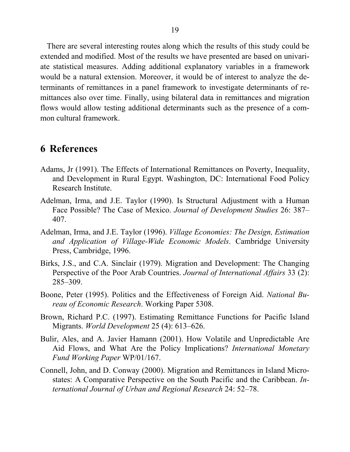There are several interesting routes along which the results of this study could be extended and modified. Most of the results we have presented are based on univariate statistical measures. Adding additional explanatory variables in a framework would be a natural extension. Moreover, it would be of interest to analyze the determinants of remittances in a panel framework to investigate determinants of remittances also over time. Finally, using bilateral data in remittances and migration flows would allow testing additional determinants such as the presence of a common cultural framework.

## **6 References**

- Adams, Jr (1991). The Effects of International Remittances on Poverty, Inequality, and Development in Rural Egypt. Washington, DC: International Food Policy Research Institute.
- Adelman, Irma, and J.E. Taylor (1990). Is Structural Adjustment with a Human Face Possible? The Case of Mexico. *Journal of Development Studies* 26: 387– 407.
- Adelman, Irma, and J.E. Taylor (1996). *Village Economies: The Design, Estimation and Application of Village-Wide Economic Models*. Cambridge University Press, Cambridge, 1996.
- Birks, J.S., and C.A. Sinclair (1979). Migration and Development: The Changing Perspective of the Poor Arab Countries. *Journal of International Affairs* 33 (2): 285–309.
- Boone, Peter (1995). Politics and the Effectiveness of Foreign Aid. *National Bureau of Economic Research*. Working Paper 5308.
- Brown, Richard P.C. (1997). Estimating Remittance Functions for Pacific Island Migrants. *World Development* 25 (4): 613–626.
- Bulir, Ales, and A. Javier Hamann (2001). How Volatile and Unpredictable Are Aid Flows, and What Are the Policy Implications? *International Monetary Fund Working Paper* WP/01/167.
- Connell, John, and D. Conway (2000). Migration and Remittances in Island Microstates: A Comparative Perspective on the South Pacific and the Caribbean. *International Journal of Urban and Regional Research* 24: 52–78.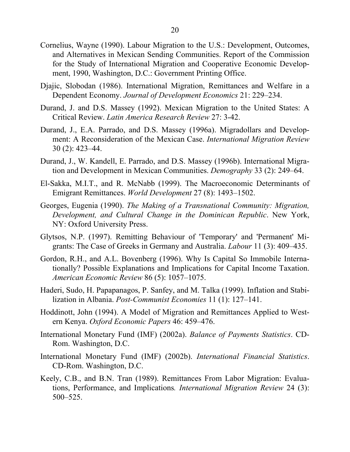- Cornelius, Wayne (1990). Labour Migration to the U.S.: Development, Outcomes, and Alternatives in Mexican Sending Communities. Report of the Commission for the Study of International Migration and Cooperative Economic Development, 1990, Washington, D.C.: Government Printing Office.
- Djajic, Slobodan (1986). International Migration, Remittances and Welfare in a Dependent Economy. *Journal of Development Economics* 21: 229–234.
- Durand, J. and D.S. Massey (1992). Mexican Migration to the United States: A Critical Review. *Latin America Research Review* 27: 3-42.
- Durand, J., E.A. Parrado, and D.S. Massey (1996a). Migradollars and Development: A Reconsideration of the Mexican Case. *International Migration Review* 30 (2): 423–44.
- Durand, J., W. Kandell, E. Parrado, and D.S. Massey (1996b). International Migration and Development in Mexican Communities. *Demography* 33 (2): 249–64.
- El-Sakka, M.I.T., and R. McNabb (1999). The Macroeconomic Determinants of Emigrant Remittances. *World Development* 27 (8): 1493–1502.
- Georges, Eugenia (1990). *The Making of a Transnational Community: Migration, Development, and Cultural Change in the Dominican Republic*. New York, NY: Oxford University Press.
- Glytsos, N.P. (1997). Remitting Behaviour of 'Temporary' and 'Permanent' Migrants: The Case of Greeks in Germany and Australia. *Labour* 11 (3): 409–435.
- Gordon, R.H., and A.L. Bovenberg (1996). Why Is Capital So Immobile Internationally? Possible Explanations and Implications for Capital Income Taxation. *American Economic Review* 86 (5): 1057–1075.
- Haderi, Sudo, H. Papapanagos, P. Sanfey, and M. Talka (1999). Inflation and Stabilization in Albania. *Post-Communist Economies* 11 (1): 127–141.
- Hoddinott, John (1994). A Model of Migration and Remittances Applied to Western Kenya. *Oxford Economic Papers* 46: 459–476.
- International Monetary Fund (IMF) (2002a). *Balance of Payments Statistics*. CD-Rom. Washington, D.C.
- International Monetary Fund (IMF) (2002b). *International Financial Statistics*. CD-Rom. Washington, D.C.
- Keely, C.B., and B.N. Tran (1989). Remittances From Labor Migration: Evaluations, Performance, and Implications*. International Migration Review* 24 (3): 500–525.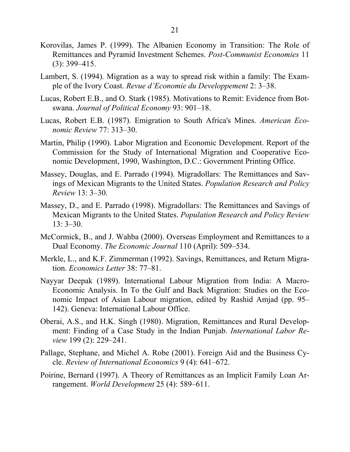- Korovilas, James P. (1999). The Albanien Economy in Transition: The Role of Remittances and Pyramid Investment Schemes. *Post-Communist Economies* 11 (3): 399–415.
- Lambert, S. (1994). Migration as a way to spread risk within a family: The Example of the Ivory Coast. *Revue d'Economie du Developpement* 2: 3–38.
- Lucas, Robert E.B., and O. Stark (1985). Motivations to Remit: Evidence from Botswana. *Journal of Political Economy* 93: 901–18.
- Lucas, Robert E.B. (1987). Emigration to South Africa's Mines. *American Economic Review* 77: 313–30.
- Martin, Philip (1990). Labor Migration and Economic Development. Report of the Commission for the Study of International Migration and Cooperative Economic Development, 1990, Washington, D.C.: Government Printing Office.
- Massey, Douglas, and E. Parrado (1994). Migradollars: The Remittances and Savings of Mexican Migrants to the United States. *Population Research and Policy Review* 13: 3–30.
- Massey, D., and E. Parrado (1998). Migradollars: The Remittances and Savings of Mexican Migrants to the United States. *Population Research and Policy Review* 13: 3–30.
- McCormick, B., and J. Wahba (2000). Overseas Employment and Remittances to a Dual Economy. *The Economic Journal* 110 (April): 509–534.
- Merkle, L., and K.F. Zimmerman (1992). Savings, Remittances, and Return Migration. *Economics Letter* 38: 77–81.
- Nayyar Deepak (1989). International Labour Migration from India: A Macro-Economic Analysis. In To the Gulf and Back Migration: Studies on the Economic Impact of Asian Labour migration, edited by Rashid Amjad (pp. 95– 142). Geneva: International Labour Office.
- Oberai, A.S., and H.K. Singh (1980). Migration, Remittances and Rural Development: Finding of a Case Study in the Indian Punjab. *International Labor Review* 199 (2): 229–241.
- Pallage, Stephane, and Michel A. Robe (2001). Foreign Aid and the Business Cycle. *Review of International Economics* 9 (4): 641–672.
- Poirine, Bernard (1997). A Theory of Remittances as an Implicit Family Loan Arrangement. *World Development* 25 (4): 589–611.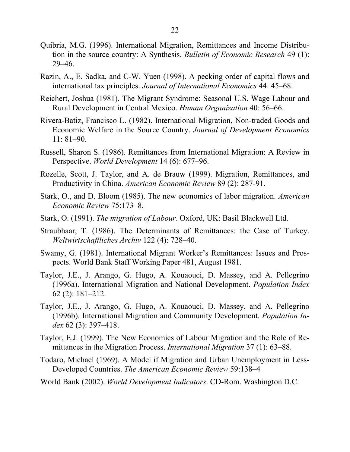- Quibria, M.G. (1996). International Migration, Remittances and Income Distribution in the source country: A Synthesis. *Bulletin of Economic Research* 49 (1): 29–46.
- Razin, A., E. Sadka, and C-W. Yuen (1998). A pecking order of capital flows and international tax principles. *Journal of International Economics* 44: 45–68.
- Reichert, Joshua (1981). The Migrant Syndrome: Seasonal U.S. Wage Labour and Rural Development in Central Mexico. *Human Organization* 40: 56–66.
- Rivera-Batiz, Francisco L. (1982). International Migration, Non-traded Goods and Economic Welfare in the Source Country. *Journal of Development Economics* 11: 81–90.
- Russell, Sharon S. (1986). Remittances from International Migration: A Review in Perspective. *World Development* 14 (6): 677–96.
- Rozelle, Scott, J. Taylor, and A. de Brauw (1999). Migration, Remittances, and Productivity in China. *American Economic Review* 89 (2): 287-91.
- Stark, O., and D. Bloom (1985). The new economics of labor migration. *American Economic Review* 75:173–8.
- Stark, O. (1991). *The migration of Labour*. Oxford, UK: Basil Blackwell Ltd.
- Straubhaar, T. (1986). The Determinants of Remittances: the Case of Turkey. *Weltwirtschaftliches Archiv* 122 (4): 728–40.
- Swamy, G. (1981). International Migrant Worker's Remittances: Issues and Prospects. World Bank Staff Working Paper 481, August 1981.
- Taylor, J.E., J. Arango, G. Hugo, A. Kouaouci, D. Massey, and A. Pellegrino (1996a). International Migration and National Development. *Population Index* 62 (2): 181–212.
- Taylor, J.E., J. Arango, G. Hugo, A. Kouaouci, D. Massey, and A. Pellegrino (1996b). International Migration and Community Development. *Population Index* 62 (3): 397–418.
- Taylor, E.J. (1999). The New Economics of Labour Migration and the Role of Remittances in the Migration Process. *International Migration* 37 (1): 63–88.
- Todaro, Michael (1969). A Model if Migration and Urban Unemployment in Less-Developed Countries. *The American Economic Review* 59:138–4
- World Bank (2002). *World Development Indicators*. CD-Rom. Washington D.C.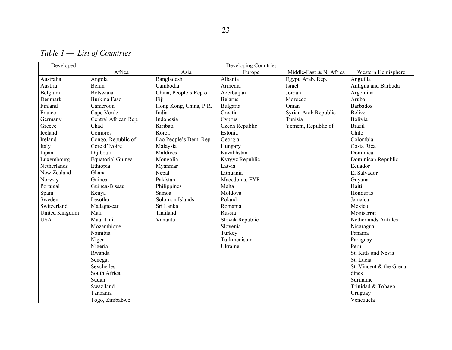*Table 1 — List of Countries* 

| Developed      | Developing Countries     |                        |                 |                         |                          |  |  |
|----------------|--------------------------|------------------------|-----------------|-------------------------|--------------------------|--|--|
|                | Africa                   | Asia                   | Europe          | Middle-East & N. Africa | Western Hemisphere       |  |  |
| Australia      | Angola                   | Bangladesh             | Albania         | Egypt, Arab. Rep.       | Anguilla                 |  |  |
| Austria        | Benin                    | Cambodia               | Armenia         | Israel                  | Antigua and Barbuda      |  |  |
| Belgium        | Botswana                 | China, People's Rep of | Azerbaijan      | Jordan                  | Argentina                |  |  |
| Denmark        | Burkina Faso             | Fiji                   | <b>Belarus</b>  | Morocco                 | Aruba                    |  |  |
| Finland        | Cameroon                 | Hong Kong, China, P.R. | Bulgaria        | Oman                    | <b>Barbados</b>          |  |  |
| France         | Cape Verde               | India                  | Croatia         | Syrian Arab Republic    | <b>Belize</b>            |  |  |
| Germany        | Central African Rep.     | Indonesia              | Cyprus          | Tunisia                 | Bolivia                  |  |  |
| Greece         | Chad                     | Kiribati               | Czech Republic  | Yemem, Republic of      | <b>Brazil</b>            |  |  |
| Iceland        | Comoros                  | Korea                  | Estonia         |                         | Chile                    |  |  |
| Ireland        | Congo, Republic of       | Lao People's Dem. Rep  | Georgia         |                         | Colombia                 |  |  |
| Italy          | Core d'Ivoire            | Malaysia               | Hungary         |                         | Costa Rica               |  |  |
| Japan          | Dijibouti                | Maldives               | Kazakhstan      |                         | Dominica                 |  |  |
| Luxembourg     | <b>Equatorial Guinea</b> | Mongolia               | Kyrgyz Republic |                         | Dominican Republic       |  |  |
| Netherlands    | Ethiopia                 | Myanmar                | Latvia          |                         | Ecuador                  |  |  |
| New Zealand    | Ghana                    | Nepal                  | Lithuania       |                         | El Salvador              |  |  |
| Norway         | Guinea                   | Pakistan               | Macedonia, FYR  |                         | Guyana                   |  |  |
| Portugal       | Guinea-Bissau            | Philippines            | Malta           |                         | Haiti                    |  |  |
| Spain          | Kenya                    | Samoa                  | Moldova         |                         | Honduras                 |  |  |
| Sweden         | Lesotho                  | Solomon Islands        | Poland          |                         | Jamaica                  |  |  |
| Switzerland    | Madagascar               | Sri Lanka              | Romania         |                         | Mexico                   |  |  |
| United Kingdom | Mali                     | Thailand               | Russia          |                         | Montserrat               |  |  |
| <b>USA</b>     | Mauritania               | Vanuatu                | Slovak Republic |                         | Netherlands Antilles     |  |  |
|                | Mozambique               |                        | Slovenia        |                         | Nicaragua                |  |  |
|                | Namibia                  |                        | Turkey          |                         | Panama                   |  |  |
|                | Niger                    |                        | Turkmenistan    |                         | Paraguay                 |  |  |
|                | Nigeria                  |                        | Ukraine         |                         | Peru                     |  |  |
|                | Rwanda                   |                        |                 |                         | St. Kitts and Nevis      |  |  |
|                | Senegal                  |                        |                 |                         | St. Lucia                |  |  |
|                | Seychelles               |                        |                 |                         | St. Vincent & the Grena- |  |  |
|                | South Africa             |                        |                 |                         | dines                    |  |  |
|                | Sudan                    |                        |                 |                         | Suriname                 |  |  |
|                | Swaziland                |                        |                 |                         | Trinidad & Tobago        |  |  |
|                | Tanzania                 |                        |                 |                         | Uruguay                  |  |  |
|                | Togo, Zimbabwe           |                        |                 |                         | Venezuela                |  |  |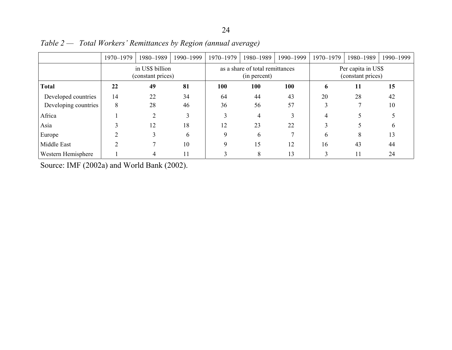|                      | 1970-1979                            | 1980-1989 | 1990-1999 | 1970-1979                                       | 1980-1989 | 1990-1999 | 1970-1979                               | 1980-1989 | 1990-1999 |
|----------------------|--------------------------------------|-----------|-----------|-------------------------------------------------|-----------|-----------|-----------------------------------------|-----------|-----------|
|                      | in US\$ billion<br>(constant prices) |           |           | as a share of total remittances<br>(in percent) |           |           | Per capita in US\$<br>(constant prices) |           |           |
| <b>Total</b>         | 22                                   | 49        | 81        | 100                                             | 100       | 100       | 6                                       | 11        | 15        |
| Developed countries  | 14                                   | 22        | 34        | 64                                              | 44        | 43        | 20                                      | 28        | 42        |
| Developing countries | 8                                    | 28        | 46        | 36                                              | 56        | 57        |                                         |           | 10        |
| Africa               |                                      |           |           |                                                 | 4         |           |                                         |           |           |
| Asia                 |                                      | 12        | 18        | 12                                              | 23        | 22        |                                         |           | h         |
| Europe               |                                      |           | 6         | 9                                               | 6         |           | 6                                       | 8         | 13        |
| Middle East          |                                      |           | 10        | $\mathbf Q$                                     | 15        | 12        | 16                                      | 43        | 44        |
| Western Hemisphere   |                                      |           | 11        |                                                 | 8         | 13        |                                         | 11        | 24        |

*Table 2 — Total Workers' Remittances by Region (annual average)* 

Source: IMF (2002a) and World Bank (2002).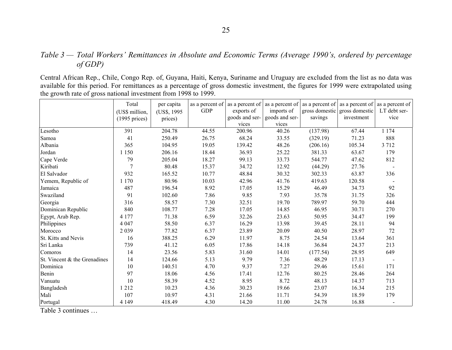#### *Table 3 — Total Workers' Remittances in Absolute and Economic Terms (Average 1990's, ordered by percentage of GDP)*

Central African Rep., Chile, Congo Rep. of, Guyana, Haiti, Kenya, Suriname and Uruguay are excluded from the list as no data was available for this period. For remittances as a percentage of gross domestic investment, the figures for 1999 were extrapolated using the growth rate of gross national investment from 1998 to 1999.

|                              | Total            | per capita   | as a percent of |                |                |          | as a percent of $\vert$ as a percent of $\vert$ as a percent of $\vert$ as a percent of $\vert$ | as a percent of |
|------------------------------|------------------|--------------|-----------------|----------------|----------------|----------|-------------------------------------------------------------------------------------------------|-----------------|
|                              | (US\$ million,   | (US\$, 1995) | <b>GDP</b>      | exports of     | imports of     |          | gross domestic gross domestic                                                                   | LT debt ser-    |
|                              | $(1995)$ prices) | prices)      |                 | goods and ser- | goods and ser- | savings  | investment                                                                                      | vice            |
|                              |                  |              |                 | vices          | vices          |          |                                                                                                 |                 |
| Lesotho                      | 391              | 204.78       | 44.55           | 200.96         | 40.26          | (137.98) | 67.44                                                                                           | 1 1 7 4         |
| Samoa                        | 41               | 250.49       | 26.75           | 68.24          | 33.55          | (329.19) | 71.23                                                                                           | 888             |
| Albania                      | 365              | 104.95       | 19.05           | 139.42         | 48.26          | (206.16) | 105.34                                                                                          | 3712            |
| Jordan                       | 1 1 5 0          | 206.16       | 18.44           | 36.93          | 25.22          | 381.33   | 63.67                                                                                           | 179             |
| Cape Verde                   | 79               | 205.04       | 18.27           | 99.13          | 33.73          | 544.77   | 47.62                                                                                           | 812             |
| Kiribati                     | $\overline{7}$   | 80.48        | 15.37           | 34.72          | 12.92          | (44.29)  | 27.76                                                                                           |                 |
| El Salvador                  | 932              | 165.52       | 10.77           | 48.84          | 30.32          | 302.33   | 63.87                                                                                           | 336             |
| Yemem, Republic of           | 1 1 7 0          | 80.96        | 10.03           | 42.96          | 41.76          | 419.63   | 120.58                                                                                          |                 |
| Jamaica                      | 487              | 196.54       | 8.92            | 17.05          | 15.29          | 46.49    | 34.73                                                                                           | 92              |
| Swaziland                    | 91               | 102.60       | 7.86            | 9.85           | 7.93           | 35.78    | 31.75                                                                                           | 326             |
| Georgia                      | 316              | 58.57        | 7.30            | 32.51          | 19.70          | 789.97   | 59.70                                                                                           | 444             |
| Dominican Republic           | 840              | 108.77       | 7.28            | 17.05          | 14.85          | 46.95    | 30.71                                                                                           | 270             |
| Egypt, Arab Rep.             | 4 1 7 7          | 71.38        | 6.59            | 32.26          | 23.63          | 50.95    | 34.47                                                                                           | 199             |
| Philippines                  | 4 0 4 7          | 58.50        | 6.37            | 16.29          | 13.98          | 39.45    | 28.11                                                                                           | 94              |
| Morocco                      | 2039             | 77.82        | 6.37            | 23.89          | 20.09          | 40.50    | 28.97                                                                                           | 72              |
| St. Kitts and Nevis          | 16               | 388.25       | 6.29            | 11.97          | 8.75           | 24.54    | 13.64                                                                                           | 361             |
| Sri Lanka                    | 739              | 41.12        | 6.05            | 17.86          | 14.18          | 36.84    | 24.37                                                                                           | 213             |
| Comoros                      | 14               | 23.56        | 5.83            | 31.60          | 14.01          | (177.54) | 28.95                                                                                           | 649             |
| St. Vincent & the Grenadines | 14               | 124.66       | 5.13            | 9.79           | 7.36           | 48.29    | 17.13                                                                                           |                 |
| Dominica                     | 10               | 140.51       | 4.70            | 9.37           | 7.27           | 29.46    | 15.61                                                                                           | 171             |
| Benin                        | 97               | 18.06        | 4.56            | 17.41          | 12.76          | 80.25    | 28.46                                                                                           | 264             |
| Vanuatu                      | 10               | 58.39        | 4.52            | 8.95           | 8.72           | 48.13    | 14.37                                                                                           | 713             |
| Bangladesh                   | 1212             | 10.23        | 4.36            | 30.23          | 19.66          | 23.07    | 16.34                                                                                           | 215             |
| Mali                         | 107              | 10.97        | 4.31            | 21.66          | 11.71          | 54.39    | 18.59                                                                                           | 179             |
| Portugal                     | 4 1 4 9          | 418.49       | 4.30            | 14.20          | 11.00          | 24.78    | 16.88                                                                                           |                 |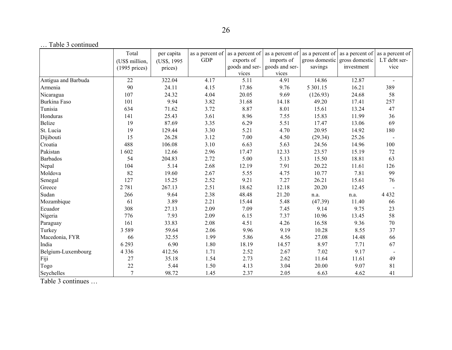|                     | Total            | per capita   | as a percent of | as a percent of | as a percent of |          | as a percent of $\vert$ as a percent of | as a percent of |
|---------------------|------------------|--------------|-----------------|-----------------|-----------------|----------|-----------------------------------------|-----------------|
|                     | (US\$ million,   | (US\$, 1995) | <b>GDP</b>      | exports of      | imports of      |          | gross domestic gross domestic           | LT debt ser-    |
|                     | $(1995)$ prices) | prices)      |                 | goods and ser-  | goods and ser-  | savings  | investment                              | vice            |
|                     |                  |              |                 | vices           | vices           |          |                                         |                 |
| Antigua and Barbuda | 22               | 322.04       | 4.17            | 5.11            | 4.91            | 14.86    | 12.87                                   | $\blacksquare$  |
| Armenia             | 90               | 24.11        | 4.15            | 17.86           | 9.76            | 5 301.15 | 16.21                                   | 389             |
| Nicaragua           | 107              | 24.32        | 4.04            | 20.05           | 9.69            | (126.93) | 24.68                                   | 58              |
| Burkina Faso        | 101              | 9.94         | 3.82            | 31.68           | 14.18           | 49.20    | 17.41                                   | 257             |
| Tunisia             | 634              | 71.62        | 3.72            | 8.87            | 8.01            | 15.61    | 13.24                                   | 47              |
| Honduras            | 141              | 25.43        | 3.61            | 8.96            | 7.55            | 15.83    | 11.99                                   | 36              |
| <b>Belize</b>       | 19               | 87.69        | 3.35            | 6.29            | 5.51            | 17.47    | 13.06                                   | 69              |
| St. Lucia           | 19               | 129.44       | 3.30            | 5.21            | 4.70            | 20.95    | 14.92                                   | 180             |
| Dijibouti           | 15               | 26.28        | 3.12            | 7.00            | 4.50            | (29.34)  | 25.26                                   |                 |
| Croatia             | 488              | 106.08       | 3.10            | 6.63            | 5.63            | 24.56    | 14.96                                   | 100             |
| Pakistan            | 1 602            | 12.66        | 2.96            | 17.47           | 12.33           | 23.57    | 15.19                                   | 72              |
| <b>Barbados</b>     | 54               | 204.83       | 2.72            | 5.00            | 5.13            | 15.50    | 18.81                                   | 63              |
| Nepal               | 104              | 5.14         | 2.68            | 12.19           | 7.91            | 20.22    | 11.61                                   | 126             |
| Moldova             | 82               | 19.60        | 2.67            | 5.55            | 4.75            | 10.77    | 7.81                                    | 99              |
| Senegal             | 127              | 15.25        | 2.52            | 9.21            | 7.27            | 26.21    | 15.61                                   | 76              |
| Greece              | 2781             | 267.13       | 2.51            | 18.62           | 12.18           | 20.20    | 12.45                                   |                 |
| Sudan               | 266              | 9.64         | 2.38            | 48.48           | 21.20           | n.a.     | n.a.                                    | 4 4 3 2         |
| Mozambique          | 61               | 3.89         | 2.21            | 15.44           | 5.48            | (47.39)  | 11.40                                   | 66              |
| Ecuador             | 308              | 27.13        | 2.09            | 7.09            | 7.45            | 9.14     | 9.75                                    | 23              |
| Nigeria             | 776              | 7.93         | 2.09            | 6.15            | 7.37            | 10.96    | 13.45                                   | 58              |
| Paraguay            | 161              | 33.83        | 2.08            | 4.51            | 4.26            | 16.58    | 9.36                                    | 70              |
| Turkey              | 3589             | 59.64        | 2.06            | 9.96            | 9.19            | 10.28    | 8.55                                    | 37              |
| Macedonia, FYR      | 66               | 32.55        | 1.99            | 5.86            | 4.56            | 27.08    | 14.48                                   | 66              |
| India               | 6 2 9 3          | 6.90         | 1.80            | 18.19           | 14.57           | 8.97     | 7.71                                    | 67              |
| Belgium-Luxembourg  | 4 3 3 6          | 412.56       | 1.71            | 2.52            | 2.67            | 7.02     | 9.17                                    |                 |
| Fiji                | 27               | 35.18        | 1.54            | 2.73            | 2.62            | 11.64    | 11.61                                   | 49              |
| Togo                | 22               | 5.44         | 1.50            | 4.13            | 3.04            | 20.00    | 9.07                                    | 81              |
| Seychelles          | $\overline{7}$   | 98.72        | 1.45            | 2.37            | 2.05            | 6.63     | 4.62                                    | 41              |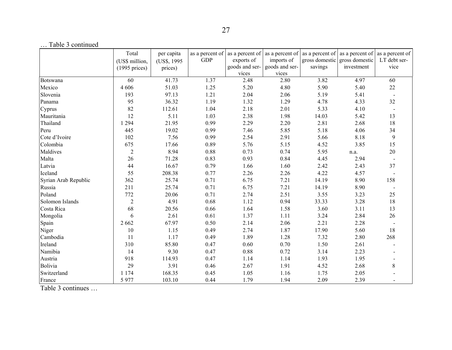|                      | Total            | per capita   | as a percent of | as a percent of | as a percent of | as a percent of | as a percent of | as a percent of |
|----------------------|------------------|--------------|-----------------|-----------------|-----------------|-----------------|-----------------|-----------------|
|                      | (US\$ million,   | (US\$, 1995) | <b>GDP</b>      | exports of      | imports of      | gross domestic  | gross domestic  | LT debt ser-    |
|                      | $(1995)$ prices) | prices)      |                 | goods and ser-  | goods and ser-  | savings         | investment      | vice            |
|                      |                  |              |                 | vices           | vices           |                 |                 |                 |
| Botswana             | 60               | 41.73        | 1.37            | 2.48            | 2.80            | 3.82            | 4.97            | 60              |
| Mexico               | 4 60 6           | 51.03        | 1.25            | 5.20            | 4.80            | 5.90            | 5.40            | $22\,$          |
| Slovenia             | 193              | 97.13        | 1.21            | 2.04            | 2.06            | 5.19            | 5.41            |                 |
| Panama               | 95               | 36.32        | 1.19            | 1.32            | 1.29            | 4.78            | 4.33            | 32              |
| Cyprus               | 82               | 112.61       | 1.04            | 2.18            | 2.01            | 5.33            | 4.10            |                 |
| Mauritania           | 12               | 5.11         | 1.03            | 2.38            | 1.98            | 14.03           | 5.42            | 13              |
| Thailand             | 1 2 9 4          | 21.95        | 0.99            | 2.29            | 2.20            | 2.81            | 2.68            | 18              |
| Peru                 | 445              | 19.02        | 0.99            | 7.46            | 5.85            | 5.18            | 4.06            | 34              |
| Cote d'Ivoire        | 102              | 7.56         | 0.99            | 2.54            | 2.91            | 5.66            | 8.18            | 9               |
| Colombia             | 675              | 17.66        | 0.89            | 5.76            | 5.15            | 4.52            | 3.85            | 15              |
| Maldives             | $\overline{2}$   | 8.94         | 0.88            | 0.73            | 0.74            | 5.95            | n.a.            | 20              |
| Malta                | 26               | 71.28        | 0.83            | 0.93            | 0.84            | 4.45            | 2.94            |                 |
| Latvia               | 44               | 16.67        | 0.79            | 1.66            | 1.60            | 2.42            | 2.43            | 37              |
| Iceland              | 55               | 208.38       | 0.77            | 2.26            | 2.26            | 4.22            | 4.57            |                 |
| Syrian Arab Republic | 362              | 25.74        | 0.71            | 6.75            | 7.21            | 14.19           | 8.90            | 158             |
| Russia               | 211              | 25.74        | 0.71            | 6.75            | 7.21            | 14.19           | 8.90            |                 |
| Poland               | 772              | 20.06        | 0.71            | 2.74            | 2.51            | 3.55            | 3.23            | 25              |
| Solomon Islands      | $\overline{2}$   | 4.91         | 0.68            | 1.12            | 0.94            | 33.33           | 3.28            | 18              |
| Costa Rica           | 68               | 20.56        | 0.66            | 1.64            | 1.58            | 3.60            | 3.11            | 13              |
| Mongolia             | 6                | 2.61         | 0.61            | 1.37            | 1.11            | 3.24            | 2.84            | 26              |
| Spain                | 2 6 6 2          | 67.97        | 0.50            | 2.14            | 2.06            | 2.21            | 2.28            |                 |
| Niger                | 10               | 1.15         | 0.49            | 2.74            | 1.87            | 17.90           | 5.60            | 18              |
| Cambodia             | 11               | 1.17         | 0.49            | 1.89            | 1.28            | 7.32            | 2.80            | 268             |
| Ireland              | 310              | 85.80        | 0.47            | 0.60            | 0.70            | 1.50            | 2.61            |                 |
| Namibia              | 14               | 9.30         | 0.47            | 0.88            | 0.72            | 3.14            | 2.23            |                 |
| Austria              | 918              | 114.93       | 0.47            | 1.14            | 1.14            | 1.93            | 1.95            |                 |
| Bolivia              | 29               | 3.91         | 0.46            | 2.67            | 1.91            | 4.52            | 2.68            | 8               |
| Switzerland          | 1 1 7 4          | 168.35       | 0.45            | 1.05            | 1.16            | 1.75            | 2.05            |                 |
| France               | 5977             | 103.10       | 0.44            | 1.79            | 1.94            | 2.09            | 2.39            |                 |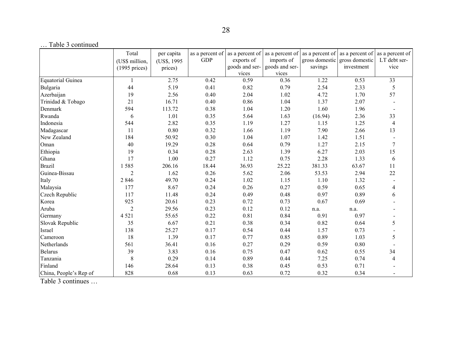|                        | Total<br>(US\$ million,<br>$(1995)$ prices) | per capita<br>(US\$, 1995)<br>prices) | as a percent of<br><b>GDP</b> | as a percent of<br>exports of<br>goods and ser- | imports of<br>goods and ser- | savings | as a percent of $\vert$ as a percent of $\vert$ as a percent of<br>gross domestic gross domestic<br>investment | as a percent of<br>LT debt ser-<br>vice |
|------------------------|---------------------------------------------|---------------------------------------|-------------------------------|-------------------------------------------------|------------------------------|---------|----------------------------------------------------------------------------------------------------------------|-----------------------------------------|
|                        |                                             |                                       |                               | vices                                           | vices                        |         |                                                                                                                |                                         |
| Equatorial Guinea      | $\overline{\mathbf{1}}$                     | 2.75                                  | 0.42                          | 0.59                                            | 0.36                         | 1.22    | 0.53                                                                                                           | 33                                      |
| Bulgaria               | 44                                          | 5.19                                  | 0.41                          | 0.82                                            | 0.79                         | 2.54    | 2.33                                                                                                           | 5                                       |
| Azerbaijan             | 19                                          | 2.56                                  | 0.40                          | 2.04                                            | 1.02                         | 4.72    | 1.70                                                                                                           | 57                                      |
| Trinidad & Tobago      | 21                                          | 16.71                                 | 0.40                          | 0.86                                            | 1.04                         | 1.37    | 2.07                                                                                                           |                                         |
| Denmark                | 594                                         | 113.72                                | 0.38                          | 1.04                                            | 1.20                         | 1.60    | 1.96                                                                                                           |                                         |
| Rwanda                 | 6                                           | 1.01                                  | 0.35                          | 5.64                                            | 1.63                         | (16.94) | 2.36                                                                                                           | 33                                      |
| Indonesia              | 544                                         | 2.82                                  | 0.35                          | 1.19                                            | 1.27                         | 1.15    | 1.25                                                                                                           | $\overline{4}$                          |
| Madagascar             | 11                                          | 0.80                                  | 0.32                          | 1.66                                            | 1.19                         | 7.90    | 2.66                                                                                                           | 13                                      |
| New Zealand            | 184                                         | 50.92                                 | 0.30                          | 1.04                                            | 1.07                         | 1.42    | 1.51                                                                                                           |                                         |
| Oman                   | 40                                          | 19.29                                 | 0.28                          | 0.64                                            | 0.79                         | 1.27    | 2.15                                                                                                           | 7                                       |
| Ethiopia               | 19                                          | 0.34                                  | 0.28                          | 2.63                                            | 1.39                         | 6.27    | 2.03                                                                                                           | 15                                      |
| Ghana                  | 17                                          | 1.00                                  | 0.27                          | 1.12                                            | 0.75                         | 2.28    | 1.33                                                                                                           | 6                                       |
| <b>Brazil</b>          | 1585                                        | 206.16                                | 18.44                         | 36.93                                           | 25.22                        | 381.33  | 63.67                                                                                                          | 11                                      |
| Guinea-Bissau          | $\overline{2}$                              | 1.62                                  | 0.26                          | 5.62                                            | 2.06                         | 53.53   | 2.94                                                                                                           | 22                                      |
| Italy                  | 2 8 4 6                                     | 49.70                                 | 0.24                          | 1.02                                            | 1.15                         | 1.10    | 1.32                                                                                                           |                                         |
| Malaysia               | 177                                         | 8.67                                  | 0.24                          | 0.26                                            | 0.27                         | 0.59    | 0.65                                                                                                           | 4                                       |
| Czech Republic         | 117                                         | 11.48                                 | 0.24                          | 0.49                                            | 0.48                         | 0.97    | 0.89                                                                                                           | 6                                       |
| Korea                  | 925                                         | 20.61                                 | 0.23                          | 0.72                                            | 0.73                         | 0.67    | 0.69                                                                                                           |                                         |
| Aruba                  | $\overline{2}$                              | 29.56                                 | 0.23                          | 0.12                                            | 0.12                         | n.a.    | n.a.                                                                                                           |                                         |
| Germany                | 4 5 2 1                                     | 55.65                                 | 0.22                          | 0.81                                            | 0.84                         | 0.91    | 0.97                                                                                                           |                                         |
| Slovak Republic        | 35                                          | 6.67                                  | 0.21                          | 0.38                                            | 0.34                         | 0.82    | 0.64                                                                                                           | 5                                       |
| Israel                 | 138                                         | 25.27                                 | 0.17                          | 0.54                                            | 0.44                         | 1.57    | 0.73                                                                                                           |                                         |
| Cameroon               | 18                                          | 1.39                                  | 0.17                          | 0.77                                            | 0.85                         | 0.89    | 1.03                                                                                                           | 5                                       |
| Netherlands            | 561                                         | 36.41                                 | 0.16                          | 0.27                                            | 0.29                         | 0.59    | 0.80                                                                                                           |                                         |
| Belarus                | 39                                          | 3.83                                  | 0.16                          | 0.75                                            | 0.47                         | 0.62    | 0.55                                                                                                           | 34                                      |
| Tanzania               | 8                                           | 0.29                                  | 0.14                          | 0.89                                            | 0.44                         | 7.25    | 0.74                                                                                                           | $\overline{4}$                          |
| Finland                | 146                                         | 28.64                                 | 0.13                          | 0.38                                            | 0.45                         | 0.53    | 0.71                                                                                                           |                                         |
| China, People's Rep of | 828                                         | 0.68                                  | 0.13                          | 0.63                                            | 0.72                         | 0.32    | 0.34                                                                                                           |                                         |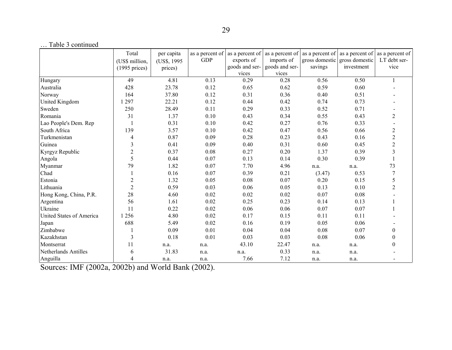| $\ldots$ racic $\upsilon$ communication. | Total            |              | as a percent of |                | as a percent of $\vert$ as a percent of |         | as a percent of $\vert$ as a percent of | as a percent of |
|------------------------------------------|------------------|--------------|-----------------|----------------|-----------------------------------------|---------|-----------------------------------------|-----------------|
|                                          |                  | per capita   | <b>GDP</b>      | exports of     | imports of                              |         | gross domestic gross domestic           | LT debt ser-    |
|                                          | (US\$ million,   | (US\$, 1995) |                 | goods and ser- | goods and ser-                          | savings | investment                              | vice            |
|                                          | $(1995)$ prices) | prices)      |                 | vices          | vices                                   |         |                                         |                 |
| Hungary                                  | 49               | 4.81         | 0.13            | 0.29           | 0.28                                    | 0.56    | 0.50                                    |                 |
| Australia                                | 428              | 23.78        | 0.12            | 0.65           | 0.62                                    | 0.59    | 0.60                                    |                 |
| Norway                                   | 164              | 37.80        | 0.12            | 0.31           | 0.36                                    | 0.40    | 0.51                                    |                 |
| <b>United Kingdom</b>                    | 1 297            | 22.21        | 0.12            | 0.44           | 0.42                                    | 0.74    | 0.73                                    |                 |
| Sweden                                   | 250              | 28.49        | 0.11            | 0.29           | 0.33                                    | 0.52    | 0.71                                    |                 |
| Romania                                  | 31               | 1.37         | 0.10            | 0.43           | 0.34                                    | 0.55    | 0.43                                    | $\overline{2}$  |
| Lao People's Dem. Rep                    |                  | 0.31         | 0.10            | 0.42           | 0.27                                    | 0.76    | 0.33                                    |                 |
| South Africa                             | 139              | 3.57         | 0.10            | 0.42           | 0.47                                    | 0.56    | 0.66                                    | $\overline{c}$  |
| Turkmenistan                             | 4                | 0.87         | 0.09            | 0.28           | 0.23                                    | 0.43    | 0.16                                    | $\overline{c}$  |
| Guinea                                   | $\mathfrak{Z}$   | 0.41         | 0.09            | 0.40           | 0.31                                    | 0.60    | 0.45                                    | $\overline{c}$  |
| Kyrgyz Republic                          | $\overline{2}$   | 0.37         | 0.08            | 0.27           | 0.20                                    | 1.37    | 0.39                                    | 3               |
| Angola                                   | 5                | 0.44         | 0.07            | 0.13           | 0.14                                    | 0.30    | 0.39                                    |                 |
| Myanmar                                  | 79               | 1.82         | 0.07            | 7.70           | 4.96                                    | n.a.    | n.a.                                    | 73              |
| Chad                                     |                  | 0.16         | 0.07            | 0.39           | 0.21                                    | (3.47)  | 0.53                                    |                 |
| Estonia                                  | $\overline{2}$   | 1.32         | 0.05            | 0.08           | 0.07                                    | 0.20    | 0.15                                    | 5               |
| Lithuania                                | $\overline{2}$   | 0.59         | 0.03            | 0.06           | 0.05                                    | 0.13    | 0.10                                    | 2               |
| Hong Kong, China, P.R.                   | 28               | 4.60         | 0.02            | 0.02           | 0.02                                    | 0.07    | 0.08                                    |                 |
| Argentina                                | 56               | 1.61         | 0.02            | 0.25           | 0.23                                    | 0.14    | 0.13                                    |                 |
| Ukraine                                  | 11               | 0.22         | 0.02            | 0.06           | 0.06                                    | 0.07    | 0.07                                    |                 |
| United States of America                 | 1 2 5 6          | 4.80         | 0.02            | 0.17           | 0.15                                    | 0.11    | 0.11                                    |                 |
| Japan                                    | 688              | 5.49         | 0.02            | 0.16           | 0.19                                    | 0.05    | 0.06                                    |                 |
| Zimbabwe                                 |                  | 0.09         | 0.01            | 0.04           | 0.04                                    | 0.08    | 0.07                                    | $\Omega$        |
| Kazakhstan                               | 3                | 0.18         | $0.01\,$        | 0.03           | 0.03                                    | 0.08    | 0.06                                    |                 |
| Montserrat                               | 11               | n.a.         | n.a.            | 43.10          | 22.47                                   | n.a.    | n.a.                                    |                 |
| Netherlands Antilles                     | 6                | 31.83        | n.a.            | n.a.           | 0.33                                    | n.a.    | n.a.                                    |                 |
| Anguilla                                 | 4                | n.a.         | n.a.            | 7.66           | 7.12                                    | n.a.    | n.a.                                    |                 |

Sources: IMF (2002a, 2002b) and World Bank (2002).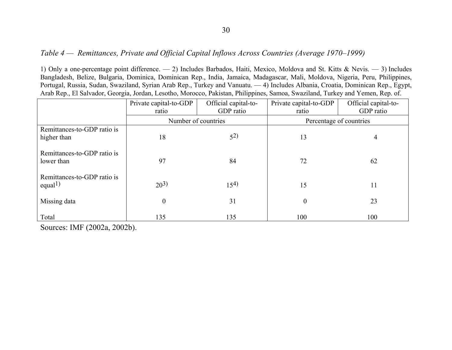#### *Table 4 — Remittances, Private and Official Capital Inflows Across Countries (Average 1970–1999)*

1) Only a one-percentage point difference. — 2) Includes Barbados, Haiti, Mexico, Moldova and St. Kitts & Nevis. — 3) Includes Bangladesh, Belize, Bulgaria, Dominica, Dominican Rep., India, Jamaica, Madagascar, Mali, Moldova, Nigeria, Peru, Philippines, Portugal, Russia, Sudan, Swaziland, Syrian Arab Rep., Turkey and Vanuatu. — 4) Includes Albania, Croatia, Dominican Rep., Egypt, Arab Rep., El Salvador, Georgia, Jordan, Lesotho, Morocco, Pakistan, Philippines, Samoa, Swaziland, Turkey and Yemen, Rep. of.

|                                                    | Private capital-to-GDP | Official capital-to- | Private capital-to-GDP  | Official capital-to- |  |  |
|----------------------------------------------------|------------------------|----------------------|-------------------------|----------------------|--|--|
|                                                    | ratio                  | GDP ratio            | ratio                   | GDP ratio            |  |  |
|                                                    | Number of countries    |                      | Percentage of countries |                      |  |  |
| Remittances-to-GDP ratio is                        |                        |                      |                         |                      |  |  |
| higher than                                        | 18                     | $5^{2}$              | 13                      | 4                    |  |  |
| Remittances-to-GDP ratio is<br>lower than          | 97                     | 84                   | 72                      | 62                   |  |  |
| Remittances-to-GDP ratio is<br>equal <sup>1)</sup> | $20^{3}$               | 15 <sup>4</sup>      | 15                      | 11                   |  |  |
| Missing data                                       | $\overline{0}$         | 31                   | $\overline{0}$          | 23                   |  |  |
| Total                                              | 135                    | 135                  | 100                     | 100                  |  |  |

Sources: IMF (2002a, 2002b).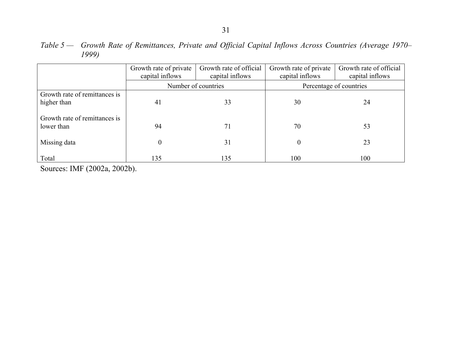|                                              | Growth rate of private<br>capital inflows | Growth rate of official<br>capital inflows | Growth rate of private<br>capital inflows | Growth rate of official<br>capital inflows |  |  |
|----------------------------------------------|-------------------------------------------|--------------------------------------------|-------------------------------------------|--------------------------------------------|--|--|
|                                              |                                           | Number of countries                        | Percentage of countries                   |                                            |  |  |
| Growth rate of remittances is<br>higher than | 41                                        | 33                                         | 30                                        | 24                                         |  |  |
| Growth rate of remittances is<br>lower than  | 94                                        | 71                                         | 70                                        | 53                                         |  |  |
| Missing data                                 | $\overline{0}$                            | 31                                         | $\theta$                                  | 23                                         |  |  |
| Total                                        | 135                                       | 135                                        | 100                                       | 100                                        |  |  |

*Table 5 — Growth Rate of Remittances, Private and Official Capital Inflows Across Countries (Average 1970– 1999)*

Sources: IMF (2002a, 2002b).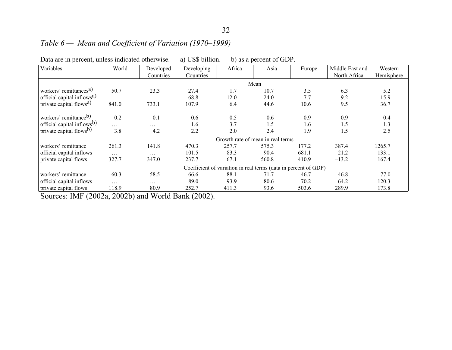# *Table 6 — Mean and Coefficient of Variation (1970–1999)*

| Variables                              | World    | Developed | Developing | Africa | Asia                                                            | Europe | Middle East and | Western    |
|----------------------------------------|----------|-----------|------------|--------|-----------------------------------------------------------------|--------|-----------------|------------|
|                                        |          | Countries | Countries  |        |                                                                 |        | North Africa    | Hemisphere |
|                                        |          |           |            |        | Mean                                                            |        |                 |            |
| workers' remittances <sup>a)</sup>     | 50.7     | 23.3      | 27.4       | 1.7    | 10.7                                                            | 3.5    | 6.3             | 5.2        |
| official capital inflows <sup>a)</sup> |          |           | 68.8       | 12.0   | 24.0                                                            | 7.7    | 9.2             | 15.9       |
| private capital flows <sup>a)</sup>    | 841.0    | 733.1     | 107.9      | 6.4    | 44.6                                                            | 10.6   | 9.5             | 36.7       |
| workers' remittance <sup>b)</sup>      | 0.2      | 0.1       | 0.6        | 0.5    | 0.6                                                             | 0.9    | 0.9             | 0.4        |
| official capital inflows <sup>b)</sup> | $\cdots$ | .         | 1.6        | 3.7    | 1.5                                                             | 1.6    | 1.5             | 1.3        |
| private capital flows <sup>b)</sup>    | 3.8      | 4.2       | 2.2        | 2.0    | 2.4                                                             | 1.9    | 1.5             | 2.5        |
|                                        |          |           |            |        | Growth rate of mean in real terms                               |        |                 |            |
| workers' remittance                    | 261.3    | 141.8     | 470.3      | 257.7  | 575.3                                                           | 177.2  | 387.4           | 1265.7     |
| official capital inflows               | .        | $\cdots$  | 101.5      | 83.3   | 90.4                                                            | 681.1  | $-21.2$         | 133.1      |
| private capital flows                  | 327.7    | 347.0     | 237.7      | 67.1   | 560.8                                                           | 410.9  | $-13.2$         | 167.4      |
|                                        |          |           |            |        | Coefficient of variation in real terms (data in percent of GDP) |        |                 |            |
| workers' remittance                    | 60.3     | 58.5      | 66.6       | 88.1   | 71.7                                                            | 46.7   | 46.8            | 77.0       |
| official capital inflows               | $\cdots$ | .         | 89.0       | 93.9   | 80.6                                                            | 70.2   | 64.2            | 120.3      |
| private capital flows                  | 118.9    | 80.9      | 252.7      | 411.3  | 93.6                                                            | 503.6  | 289.9           | 173.8      |

| Data are in percent, unless indicated otherwise. $-$ a) US\$ billion. $-$ b) as a percent of GDP. |  |  |  |  |  |
|---------------------------------------------------------------------------------------------------|--|--|--|--|--|
|---------------------------------------------------------------------------------------------------|--|--|--|--|--|

Sources: IMF (2002a, 2002b) and World Bank (2002).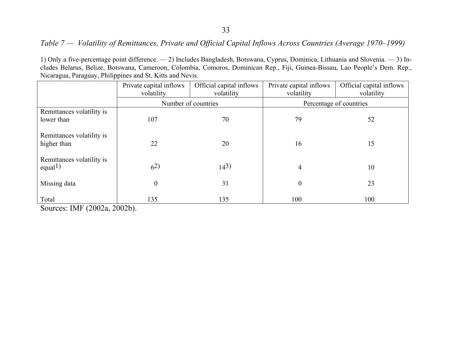#### 33

## *Table 7 — Volatility of Remittances, Private and Official Capital Inflows Across Countries (Average 1970–1999)*

1) Only a five-percentage point difference. — 2) Includes Bangladesh, Botswana, Cyprus, Dominica, Lithuania and Slovenia. — 3) Includes Belarus, Belize, Botswana, Cameroon, Colombia, Comoros, Dominican Rep., Fiji, Guinea-Bissau, Lao People's Dem. Rep., Nicaragua, Paraguay, Philippines and St. Kitts and Nevis.

|                                                   | Private capital inflows<br>volatility | Official capital inflows<br>volatility | Private capital inflows<br>volatility | Official capital inflows<br>volatility |
|---------------------------------------------------|---------------------------------------|----------------------------------------|---------------------------------------|----------------------------------------|
|                                                   | Number of countries                   |                                        | Percentage of countries               |                                        |
| Remittances volatility is                         |                                       |                                        |                                       |                                        |
| lower than                                        | 107                                   | 70                                     | 79                                    | 52                                     |
| Remittances volatility is<br>higher than          | 22                                    | 20                                     | 16                                    | 15                                     |
| Remittances volatility is<br>equal <sup>1</sup> ) | $6^{2}$                               | $14^3$                                 | $\overline{4}$                        | 10                                     |
| Missing data                                      | $\boldsymbol{0}$                      | 31                                     | $\boldsymbol{0}$                      | 23                                     |
| Total                                             | 135                                   | 135                                    | 100                                   | 100                                    |

Sources: IMF (2002a, 2002b).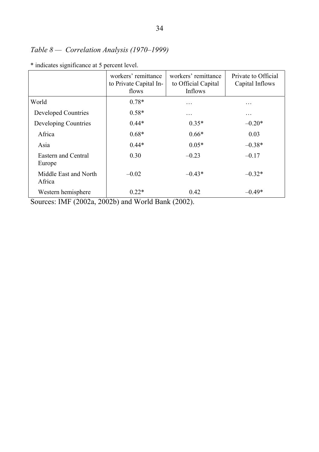# *Table 8 — Correlation Analysis (1970–1999)*

|                                 | workers' remittance<br>to Private Capital In-<br>flows | workers' remittance<br>to Official Capital<br>Inflows | Private to Official<br>Capital Inflows |
|---------------------------------|--------------------------------------------------------|-------------------------------------------------------|----------------------------------------|
| World                           | $0.78*$                                                | .                                                     | .                                      |
| <b>Developed Countries</b>      | $0.58*$                                                | .                                                     | .                                      |
| Developing Countries            | $0.44*$                                                | $0.35*$                                               | $-0.20*$                               |
| Africa                          | $0.68*$                                                | $0.66*$                                               | 0.03                                   |
| Asia                            | $0.44*$                                                | $0.05*$                                               | $-0.38*$                               |
| Eastern and Central<br>Europe   | 0.30                                                   | $-0.23$                                               | $-0.17$                                |
| Middle East and North<br>Africa | $-0.02$                                                | $-0.43*$                                              | $-0.32*$                               |
| Western hemisphere              | $0.22*$                                                | 0.42                                                  | $-0.49*$                               |

\* indicates significance at 5 percent level.

Sources: IMF (2002a, 2002b) and World Bank (2002).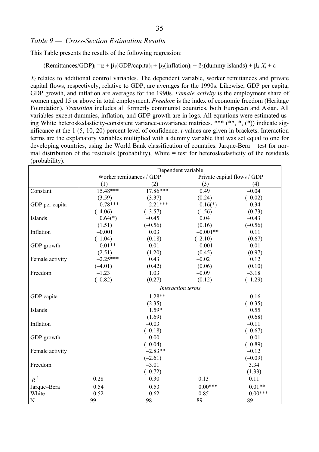#### *Table 9 — Cross-Section Estimation Results*

This Table presents the results of the following regression:

 $(R$ emittances/GDP)<sub>i</sub> =  $\alpha + \beta_1$ (GDP/capita)<sub>i</sub> +  $\beta_2$ (inflation)<sub>i</sub> +  $\beta_3$ (dummy islands) +  $\beta_4 X_i$  +  $\epsilon$ 

*Xi* relates to additional control variables. The dependent variable, worker remittances and private capital flows, respectively, relative to GDP, are averages for the 1990s. Likewise, GDP per capita, GDP growth, and inflation are averages for the 1990s. *Female activity* is the employment share of women aged 15 or above in total employment. *Freedom* is the index of economic freedom (Heritage Foundation). *Transition* includes all formerly communist countries, both European and Asian. All variables except dummies, inflation, and GDP growth are in logs. All equations were estimated using White heteroskedasticity-consistent variance-covariance matrices. \*\*\* (\*\*, \*, (\*)) indicate significance at the 1 (5, 10, 20) percent level of confidence. *t*-values are given in brackets. Interaction terms are the explanatory variables multiplied with a dummy variable that was set equal to one for developing countries, using the World Bank classification of countries. Jarque-Bera = test for normal distribution of the residuals (probability), White  $=$  test for heteroskedasticity of the residuals (probability).

|                  | Dependent variable       |            |                             |           |  |
|------------------|--------------------------|------------|-----------------------------|-----------|--|
|                  | Worker remittances / GDP |            | Private capital flows / GDP |           |  |
|                  | (1)                      | (2)        | (3)                         | (4)       |  |
| Constant         | $15.48***$               | 17.86***   | 0.49                        | $-0.04$   |  |
|                  | (3.59)                   | (3.37)     | (0.24)                      | $(-0.02)$ |  |
| GDP per capita   | $-0.78***$               | $-2.21***$ | $0.16(*)$                   | 0.34      |  |
|                  | $(-4.06)$                | $(-3.57)$  | (1.56)                      | (0.73)    |  |
| Islands          | $0.64(*)$                | $-0.45$    | 0.04                        | $-0.43$   |  |
|                  | (1.51)                   | $(-0.56)$  | (0.16)                      | $(-0.56)$ |  |
| Inflation        | $-0.001$                 | 0.03       | $-0.001**$                  | 0.11      |  |
|                  | $(-1.04)$                | (0.18)     | $(-2.10)$                   | (0.67)    |  |
| GDP growth       | $0.01**$                 | 0.01       | 0.001                       | 0.01      |  |
|                  | (2.51)                   | (1.20)     | (0.45)                      | (0.97)    |  |
| Female activity  | $-2.25***$               | 0.43       | $-0.02$                     | 0.12      |  |
|                  | $(-4.01)$                | (0.42)     | (0.06)                      | (0.10)    |  |
| Freedom          | $-1.23$                  | 1.03       | $-0.09$                     | $-3.18$   |  |
|                  | $(-0.82)$                | (0.27)     | (0.12)                      | $(-1.29)$ |  |
|                  | Interaction terms        |            |                             |           |  |
| GDP capita       |                          | $1.28**$   |                             | $-0.16$   |  |
|                  |                          | (2.35)     |                             | $(-0.35)$ |  |
| Islands          |                          | 1.59*      |                             | 0.55      |  |
|                  |                          | (1.69)     |                             | (0.68)    |  |
| Inflation        |                          | $-0.03$    |                             | $-0.11$   |  |
|                  |                          | $(-0.18)$  |                             | $(-0.67)$ |  |
| GDP growth       |                          | $-0.00$    |                             | $-0.01$   |  |
|                  |                          | $(-0.04)$  |                             | $(-0.89)$ |  |
| Female activity  |                          | $-2.83**$  |                             | $-0.12$   |  |
|                  |                          | $(-2.61)$  |                             | $(-0.09)$ |  |
| Freedom          |                          | $-3.01$    |                             | 3.34      |  |
|                  |                          | $(-0.72)$  |                             | (1.33)    |  |
| $\overline{R}^2$ | 0.28                     | 0.30       | 0.13                        | 0.11      |  |
| Jarque-Bera      | 0.54                     | 0.53       | $0.00***$                   | $0.01**$  |  |
| White            | 0.52                     | 0.62       | 0.85                        | $0.00***$ |  |
| $\mathbf N$      | 99                       | 98         | 89                          | 89        |  |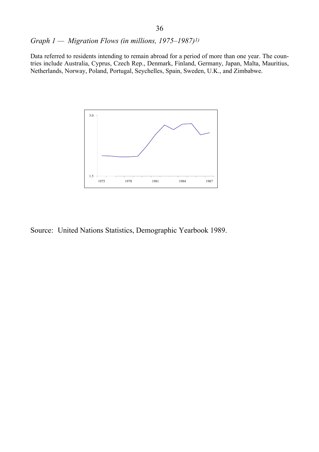*Graph 1 — Migration Flows (in millions, 1975–1987)1)* 

Data referred to residents intending to remain abroad for a period of more than one year. The countries include Australia, Cyprus, Czech Rep., Denmark, Finland, Germany, Japan, Malta, Mauritius, Netherlands, Norway, Poland, Portugal, Seychelles, Spain, Sweden, U.K., and Zimbabwe.



Source: United Nations Statistics, Demographic Yearbook 1989.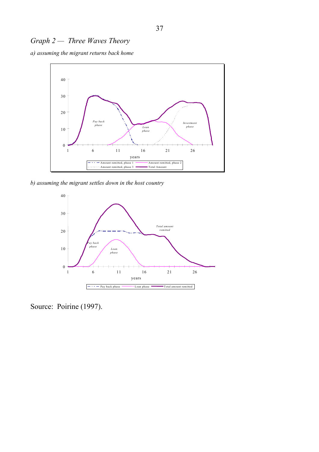# *Graph 2 — Three Waves Theory*

*a) assuming the migrant returns back home*



*b) assuming the migrant settles down in the host country* 



Source: Poirine (1997).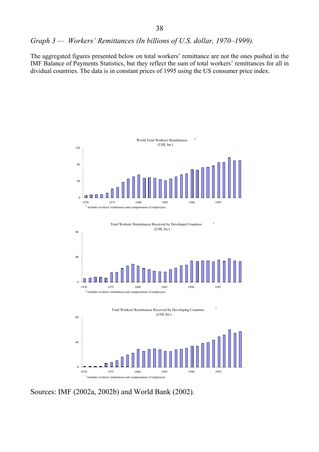*Graph 3 — Workers' Remittances (In billions of U.S. dollar, 1970–1999).* 

The aggregated figures presented below on total workers' remittance are not the ones pushed in the IMF Balance of Payments Statistics, but they reflect the sum of total workers' remittances for all in dividual countries. The data is in constant prices of 1995 using the US consumer price index.



Sources: IMF (2002a, 2002b) and World Bank (2002).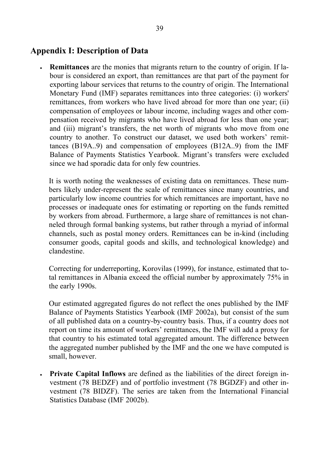# **Appendix I: Description of Data**

• **Remittances** are the monies that migrants return to the country of origin. If labour is considered an export, than remittances are that part of the payment for exporting labour services that returns to the country of origin. The International Monetary Fund (IMF) separates remittances into three categories: (i) workers' remittances, from workers who have lived abroad for more than one year; (ii) compensation of employees or labour income, including wages and other compensation received by migrants who have lived abroad for less than one year; and (iii) migrant's transfers, the net worth of migrants who move from one country to another. To construct our dataset, we used both workers' remittances (B19A..9) and compensation of employees (B12A..9) from the IMF Balance of Payments Statistics Yearbook. Migrant's transfers were excluded since we had sporadic data for only few countries.

It is worth noting the weaknesses of existing data on remittances. These numbers likely under-represent the scale of remittances since many countries, and particularly low income countries for which remittances are important, have no processes or inadequate ones for estimating or reporting on the funds remitted by workers from abroad. Furthermore, a large share of remittances is not channeled through formal banking systems, but rather through a myriad of informal channels, such as postal money orders. Remittances can be in-kind (including consumer goods, capital goods and skills, and technological knowledge) and clandestine.

Correcting for underreporting, Korovilas (1999), for instance, estimated that total remittances in Albania exceed the official number by approximately 75% in the early 1990s.

Our estimated aggregated figures do not reflect the ones published by the IMF Balance of Payments Statistics Yearbook (IMF 2002a), but consist of the sum of all published data on a country-by-country basis. Thus, if a country does not report on time its amount of workers' remittances, the IMF will add a proxy for that country to his estimated total aggregated amount. The difference between the aggregated number published by the IMF and the one we have computed is small, however.

• **Private Capital Inflows** are defined as the liabilities of the direct foreign investment (78 BEDZF) and of portfolio investment (78 BGDZF) and other investment (78 BIDZF). The series are taken from the International Financial Statistics Database (IMF 2002b).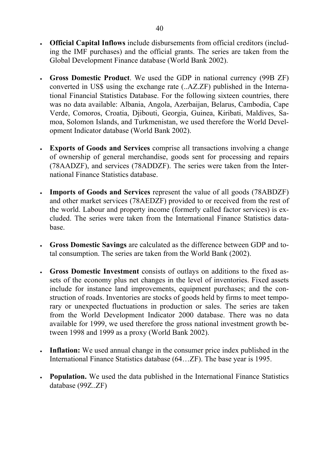- **Official Capital Inflows** include disbursements from official creditors (including the IMF purchases) and the official grants. The series are taken from the Global Development Finance database (World Bank 2002).
- **Gross Domestic Product**. We used the GDP in national currency (99B ZF) converted in US\$ using the exchange rate (..AZ.ZF) published in the International Financial Statistics Database. For the following sixteen countries, there was no data available: Albania, Angola, Azerbaijan, Belarus, Cambodia, Cape Verde, Comoros, Croatia, Djibouti, Georgia, Guinea, Kiribati, Maldives, Samoa, Solomon Islands, and Turkmenistan, we used therefore the World Development Indicator database (World Bank 2002).
- **Exports of Goods and Services** comprise all transactions involving a change of ownership of general merchandise, goods sent for processing and repairs (78AADZF), and services (78ADDZF). The series were taken from the International Finance Statistics database.
- **Imports of Goods and Services** represent the value of all goods (78ABDZF) and other market services (78AEDZF) provided to or received from the rest of the world. Labour and property income (formerly called factor services) is excluded. The series were taken from the International Finance Statistics database.
- **Gross Domestic Savings** are calculated as the difference between GDP and total consumption. The series are taken from the World Bank (2002).
- **Gross Domestic Investment** consists of outlays on additions to the fixed assets of the economy plus net changes in the level of inventories. Fixed assets include for instance land improvements, equipment purchases; and the construction of roads. Inventories are stocks of goods held by firms to meet temporary or unexpected fluctuations in production or sales. The series are taken from the World Development Indicator 2000 database. There was no data available for 1999, we used therefore the gross national investment growth between 1998 and 1999 as a proxy (World Bank 2002).
- **Inflation:** We used annual change in the consumer price index published in the International Finance Statistics database (64…ZF). The base year is 1995.
- **Population.** We used the data published in the International Finance Statistics database (99Z..ZF)